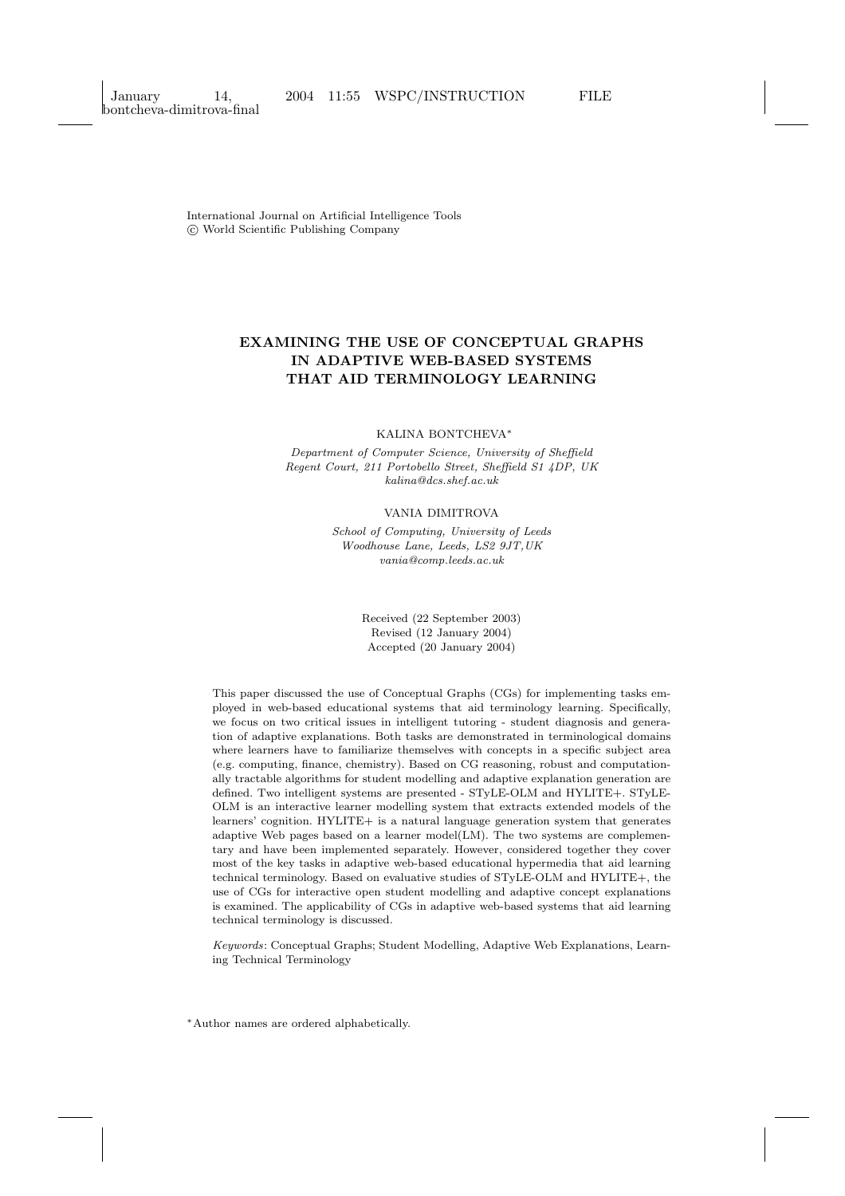International Journal on Artificial Intelligence Tools °c World Scientific Publishing Company

# EXAMINING THE USE OF CONCEPTUAL GRAPHS IN ADAPTIVE WEB-BASED SYSTEMS THAT AID TERMINOLOGY LEARNING

#### KALINA BONTCHEVA<sup>∗</sup>

Department of Computer Science, University of Sheffield Regent Court, 211 Portobello Street, Sheffield S1 4DP, UK kalina@dcs.shef.ac.uk

VANIA DIMITROVA

School of Computing, University of Leeds Woodhouse Lane, Leeds, LS2 9JT,UK vania@comp.leeds.ac.uk

> Received (22 September 2003) Revised (12 January 2004) Accepted (20 January 2004)

This paper discussed the use of Conceptual Graphs (CGs) for implementing tasks employed in web-based educational systems that aid terminology learning. Specifically, we focus on two critical issues in intelligent tutoring - student diagnosis and generation of adaptive explanations. Both tasks are demonstrated in terminological domains where learners have to familiarize themselves with concepts in a specific subject area (e.g. computing, finance, chemistry). Based on CG reasoning, robust and computationally tractable algorithms for student modelling and adaptive explanation generation are defined. Two intelligent systems are presented - STyLE-OLM and HYLITE+. STyLE-OLM is an interactive learner modelling system that extracts extended models of the learners' cognition. HYLITE+ is a natural language generation system that generates adaptive Web pages based on a learner model $(LM)$ . The two systems are complementary and have been implemented separately. However, considered together they cover most of the key tasks in adaptive web-based educational hypermedia that aid learning technical terminology. Based on evaluative studies of STyLE-OLM and HYLITE+, the use of CGs for interactive open student modelling and adaptive concept explanations is examined. The applicability of CGs in adaptive web-based systems that aid learning technical terminology is discussed.

Keywords: Conceptual Graphs; Student Modelling, Adaptive Web Explanations, Learning Technical Terminology

<sup>∗</sup>Author names are ordered alphabetically.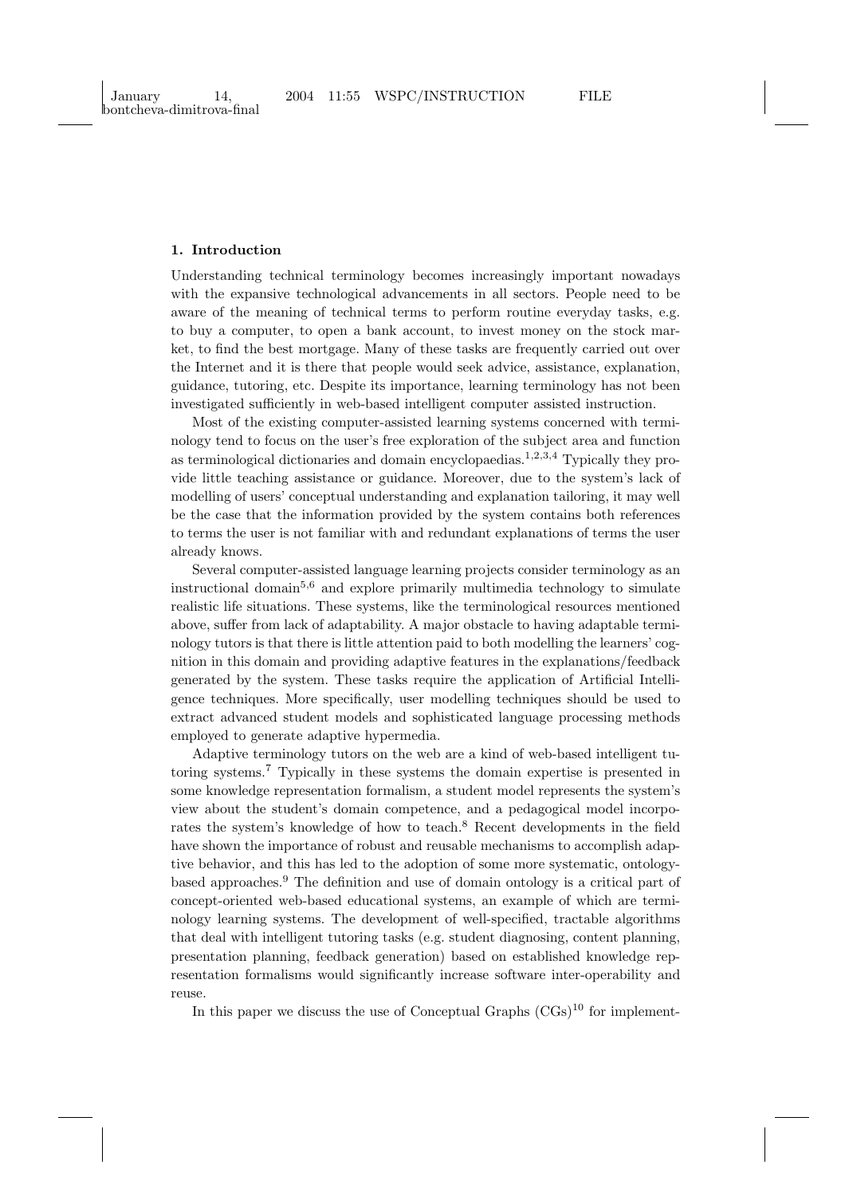#### 1. Introduction

Understanding technical terminology becomes increasingly important nowadays with the expansive technological advancements in all sectors. People need to be aware of the meaning of technical terms to perform routine everyday tasks, e.g. to buy a computer, to open a bank account, to invest money on the stock market, to find the best mortgage. Many of these tasks are frequently carried out over the Internet and it is there that people would seek advice, assistance, explanation, guidance, tutoring, etc. Despite its importance, learning terminology has not been investigated sufficiently in web-based intelligent computer assisted instruction.

Most of the existing computer-assisted learning systems concerned with terminology tend to focus on the user's free exploration of the subject area and function as terminological dictionaries and domain encyclopaedias.<sup>1,2,3,4</sup> Typically they provide little teaching assistance or guidance. Moreover, due to the system's lack of modelling of users' conceptual understanding and explanation tailoring, it may well be the case that the information provided by the system contains both references to terms the user is not familiar with and redundant explanations of terms the user already knows.

Several computer-assisted language learning projects consider terminology as an instructional domain<sup>5,6</sup> and explore primarily multimedia technology to simulate realistic life situations. These systems, like the terminological resources mentioned above, suffer from lack of adaptability. A major obstacle to having adaptable terminology tutors is that there is little attention paid to both modelling the learners' cognition in this domain and providing adaptive features in the explanations/feedback generated by the system. These tasks require the application of Artificial Intelligence techniques. More specifically, user modelling techniques should be used to extract advanced student models and sophisticated language processing methods employed to generate adaptive hypermedia.

Adaptive terminology tutors on the web are a kind of web-based intelligent tutoring systems.<sup>7</sup> Typically in these systems the domain expertise is presented in some knowledge representation formalism, a student model represents the system's view about the student's domain competence, and a pedagogical model incorporates the system's knowledge of how to teach.<sup>8</sup> Recent developments in the field have shown the importance of robust and reusable mechanisms to accomplish adaptive behavior, and this has led to the adoption of some more systematic, ontologybased approaches.<sup>9</sup> The definition and use of domain ontology is a critical part of concept-oriented web-based educational systems, an example of which are terminology learning systems. The development of well-specified, tractable algorithms that deal with intelligent tutoring tasks (e.g. student diagnosing, content planning, presentation planning, feedback generation) based on established knowledge representation formalisms would significantly increase software inter-operability and reuse.

In this paper we discuss the use of Conceptual Graphs  $(CGs)^{10}$  for implement-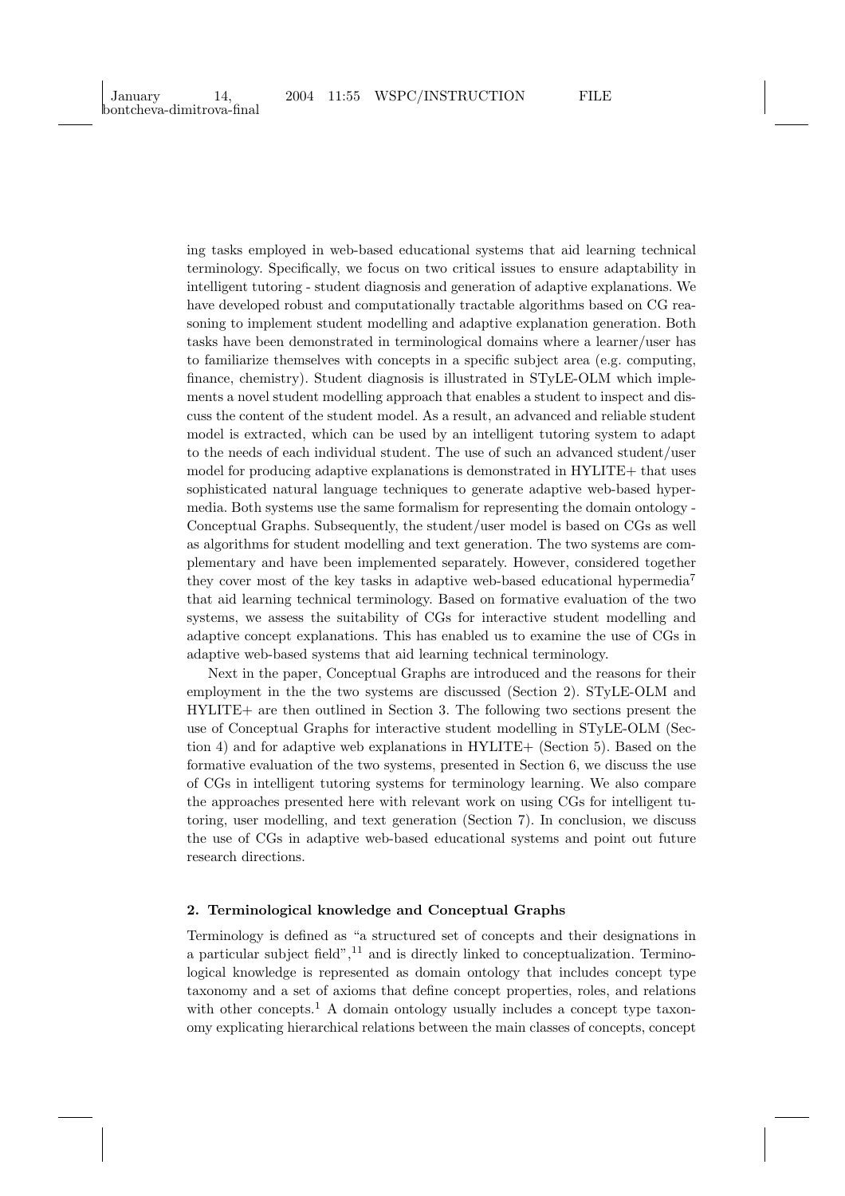ing tasks employed in web-based educational systems that aid learning technical terminology. Specifically, we focus on two critical issues to ensure adaptability in intelligent tutoring - student diagnosis and generation of adaptive explanations. We have developed robust and computationally tractable algorithms based on CG reasoning to implement student modelling and adaptive explanation generation. Both tasks have been demonstrated in terminological domains where a learner/user has to familiarize themselves with concepts in a specific subject area (e.g. computing, finance, chemistry). Student diagnosis is illustrated in STyLE-OLM which implements a novel student modelling approach that enables a student to inspect and discuss the content of the student model. As a result, an advanced and reliable student model is extracted, which can be used by an intelligent tutoring system to adapt to the needs of each individual student. The use of such an advanced student/user model for producing adaptive explanations is demonstrated in HYLITE + that uses sophisticated natural language techniques to generate adaptive web-based hypermedia. Both systems use the same formalism for representing the domain ontology - Conceptual Graphs. Subsequently, the student/user model is based on CGs as well as algorithms for student modelling and text generation. The two systems are complementary and have been implemented separately. However, considered together they cover most of the key tasks in adaptive web-based educational hypermedia<sup>7</sup> that aid learning technical terminology. Based on formative evaluation of the two systems, we assess the suitability of CGs for interactive student modelling and adaptive concept explanations. This has enabled us to examine the use of CGs in adaptive web-based systems that aid learning technical terminology.

Next in the paper, Conceptual Graphs are introduced and the reasons for their employment in the the two systems are discussed (Section 2). STyLE-OLM and HYLITE+ are then outlined in Section 3. The following two sections present the use of Conceptual Graphs for interactive student modelling in STyLE-OLM (Section 4) and for adaptive web explanations in HYLITE+ (Section 5). Based on the formative evaluation of the two systems, presented in Section 6, we discuss the use of CGs in intelligent tutoring systems for terminology learning. We also compare the approaches presented here with relevant work on using CGs for intelligent tutoring, user modelling, and text generation (Section 7). In conclusion, we discuss the use of CGs in adaptive web-based educational systems and point out future research directions.

## 2. Terminological knowledge and Conceptual Graphs

Terminology is defined as "a structured set of concepts and their designations in a particular subject field", $^{11}$  and is directly linked to conceptualization. Terminological knowledge is represented as domain ontology that includes concept type taxonomy and a set of axioms that define concept properties, roles, and relations with other concepts.<sup>1</sup> A domain ontology usually includes a concept type taxonomy explicating hierarchical relations between the main classes of concepts, concept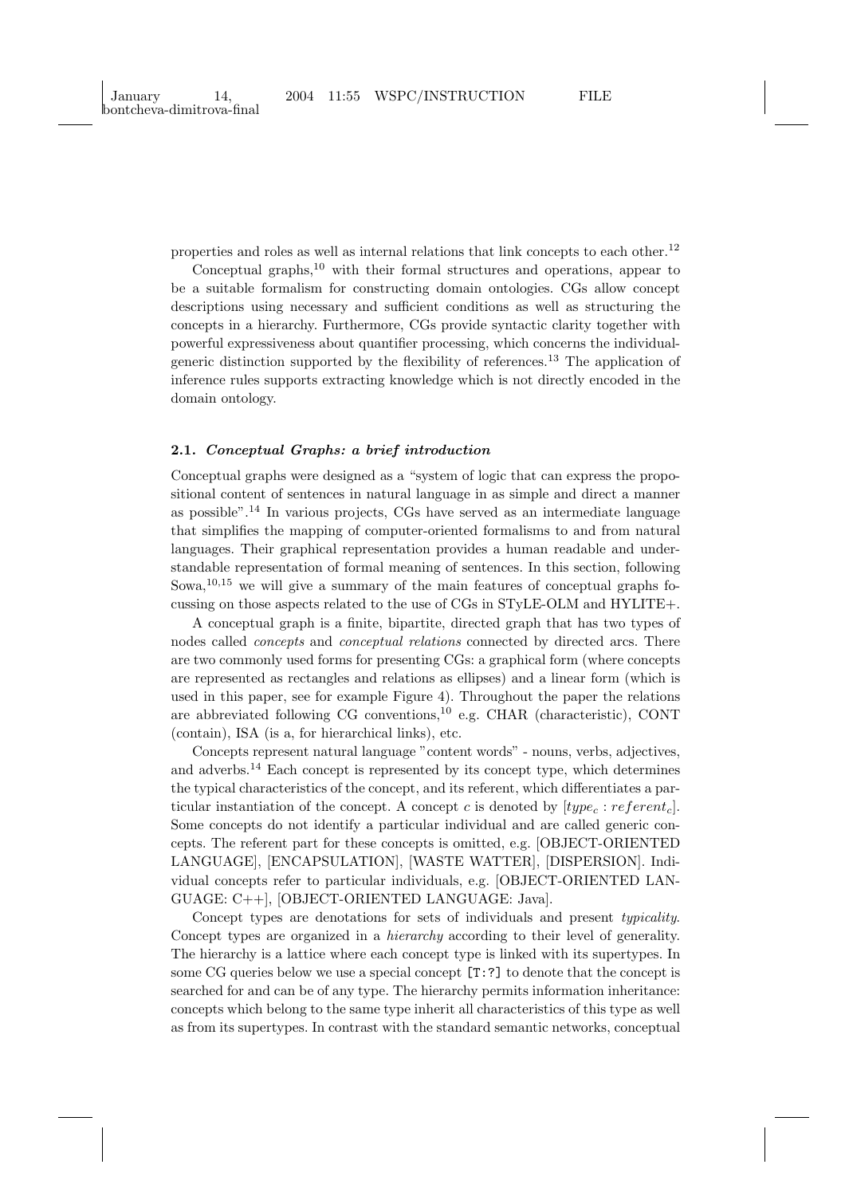properties and roles as well as internal relations that link concepts to each other.<sup>12</sup>

Conceptual graphs, $^{10}$  with their formal structures and operations, appear to be a suitable formalism for constructing domain ontologies. CGs allow concept descriptions using necessary and sufficient conditions as well as structuring the concepts in a hierarchy. Furthermore, CGs provide syntactic clarity together with powerful expressiveness about quantifier processing, which concerns the individualgeneric distinction supported by the flexibility of references.<sup>13</sup> The application of inference rules supports extracting knowledge which is not directly encoded in the domain ontology.

## 2.1. Conceptual Graphs: a brief introduction

Conceptual graphs were designed as a "system of logic that can express the propositional content of sentences in natural language in as simple and direct a manner as possible".<sup>14</sup> In various projects, CGs have served as an intermediate language that simplifies the mapping of computer-oriented formalisms to and from natural languages. Their graphical representation provides a human readable and understandable representation of formal meaning of sentences. In this section, following Sowa,<sup>10</sup>,<sup>15</sup> we will give a summary of the main features of conceptual graphs focussing on those aspects related to the use of CGs in STyLE-OLM and HYLITE+.

A conceptual graph is a finite, bipartite, directed graph that has two types of nodes called *concepts* and *conceptual relations* connected by directed arcs. There are two commonly used forms for presenting CGs: a graphical form (where concepts are represented as rectangles and relations as ellipses) and a linear form (which is used in this paper, see for example Figure 4). Throughout the paper the relations are abbreviated following CG conventions,  $^{10}$  e.g. CHAR (characteristic), CONT (contain), ISA (is a, for hierarchical links), etc.

Concepts represent natural language "content words" - nouns, verbs, adjectives, and adverbs.<sup>14</sup> Each concept is represented by its concept type, which determines the typical characteristics of the concept, and its referent, which differentiates a particular instantiation of the concept. A concept c is denoted by  $[type_c:reference].$ Some concepts do not identify a particular individual and are called generic concepts. The referent part for these concepts is omitted, e.g. [OBJECT-ORIENTED LANGUAGE], [ENCAPSULATION], [WASTE WATTER], [DISPERSION]. Individual concepts refer to particular individuals, e.g. [OBJECT-ORIENTED LAN-GUAGE: C++], [OBJECT-ORIENTED LANGUAGE: Java].

Concept types are denotations for sets of individuals and present typicality. Concept types are organized in a hierarchy according to their level of generality. The hierarchy is a lattice where each concept type is linked with its supertypes. In some CG queries below we use a special concept [T:?] to denote that the concept is searched for and can be of any type. The hierarchy permits information inheritance: concepts which belong to the same type inherit all characteristics of this type as well as from its supertypes. In contrast with the standard semantic networks, conceptual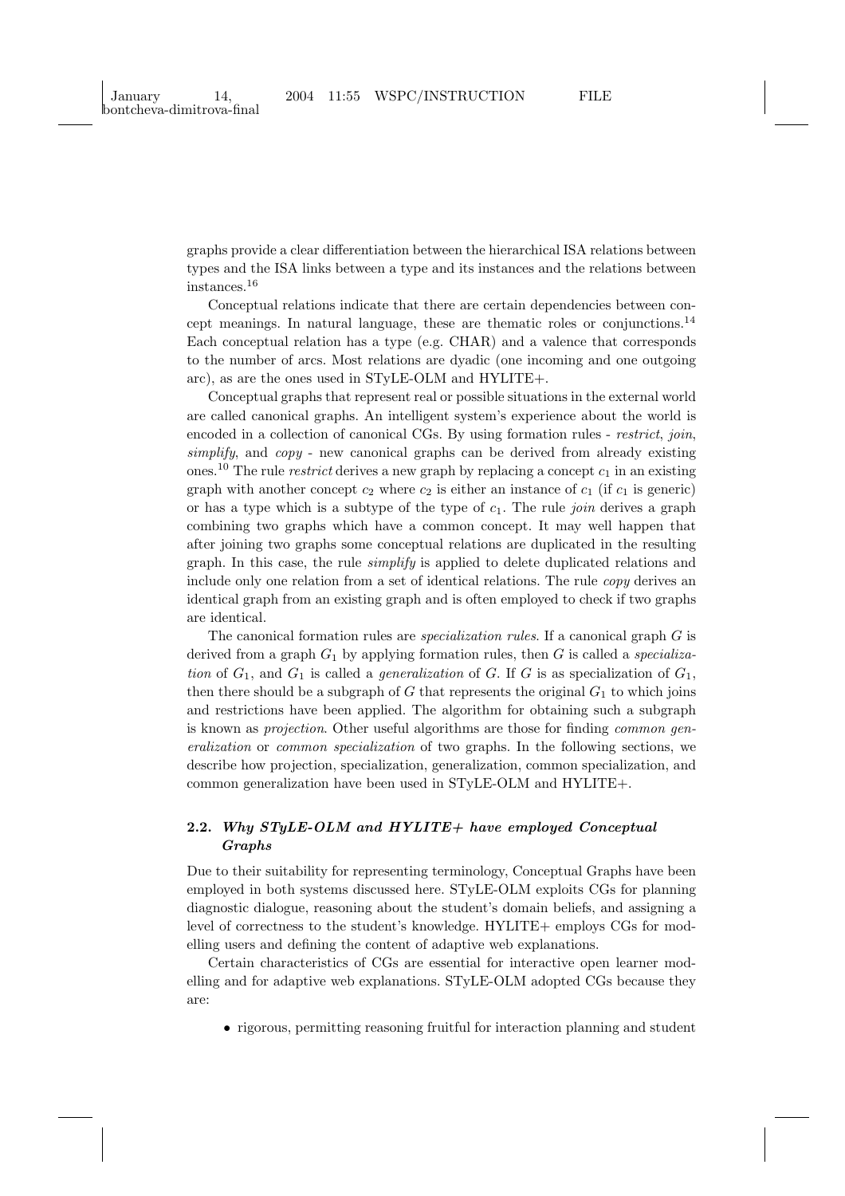graphs provide a clear differentiation between the hierarchical ISA relations between types and the ISA links between a type and its instances and the relations between instances.<sup>16</sup>

Conceptual relations indicate that there are certain dependencies between concept meanings. In natural language, these are thematic roles or conjunctions.<sup>14</sup> Each conceptual relation has a type (e.g. CHAR) and a valence that corresponds to the number of arcs. Most relations are dyadic (one incoming and one outgoing arc), as are the ones used in STyLE-OLM and HYLITE+.

Conceptual graphs that represent real or possible situations in the external world are called canonical graphs. An intelligent system's experience about the world is encoded in a collection of canonical CGs. By using formation rules - restrict, join, simplify, and copy - new canonical graphs can be derived from already existing ones.<sup>10</sup> The rule *restrict* derives a new graph by replacing a concept  $c_1$  in an existing graph with another concept  $c_2$  where  $c_2$  is either an instance of  $c_1$  (if  $c_1$  is generic) or has a type which is a subtype of the type of  $c_1$ . The rule join derives a graph combining two graphs which have a common concept. It may well happen that after joining two graphs some conceptual relations are duplicated in the resulting graph. In this case, the rule simplify is applied to delete duplicated relations and include only one relation from a set of identical relations. The rule *copy* derives an identical graph from an existing graph and is often employed to check if two graphs are identical.

The canonical formation rules are specialization rules. If a canonical graph G is derived from a graph  $G_1$  by applying formation rules, then G is called a *specializa*tion of  $G_1$ , and  $G_1$  is called a *generalization* of G. If G is as specialization of  $G_1$ , then there should be a subgraph of  $G$  that represents the original  $G_1$  to which joins and restrictions have been applied. The algorithm for obtaining such a subgraph is known as *projection*. Other useful algorithms are those for finding *common gen*eralization or common specialization of two graphs. In the following sections, we describe how projection, specialization, generalization, common specialization, and common generalization have been used in STyLE-OLM and HYLITE+.

# 2.2. Why STyLE-OLM and HYLITE+ have employed Conceptual Graphs

Due to their suitability for representing terminology, Conceptual Graphs have been employed in both systems discussed here. STyLE-OLM exploits CGs for planning diagnostic dialogue, reasoning about the student's domain beliefs, and assigning a level of correctness to the student's knowledge. HYLITE+ employs CGs for modelling users and defining the content of adaptive web explanations.

Certain characteristics of CGs are essential for interactive open learner modelling and for adaptive web explanations. STyLE-OLM adopted CGs because they are:

• rigorous, permitting reasoning fruitful for interaction planning and student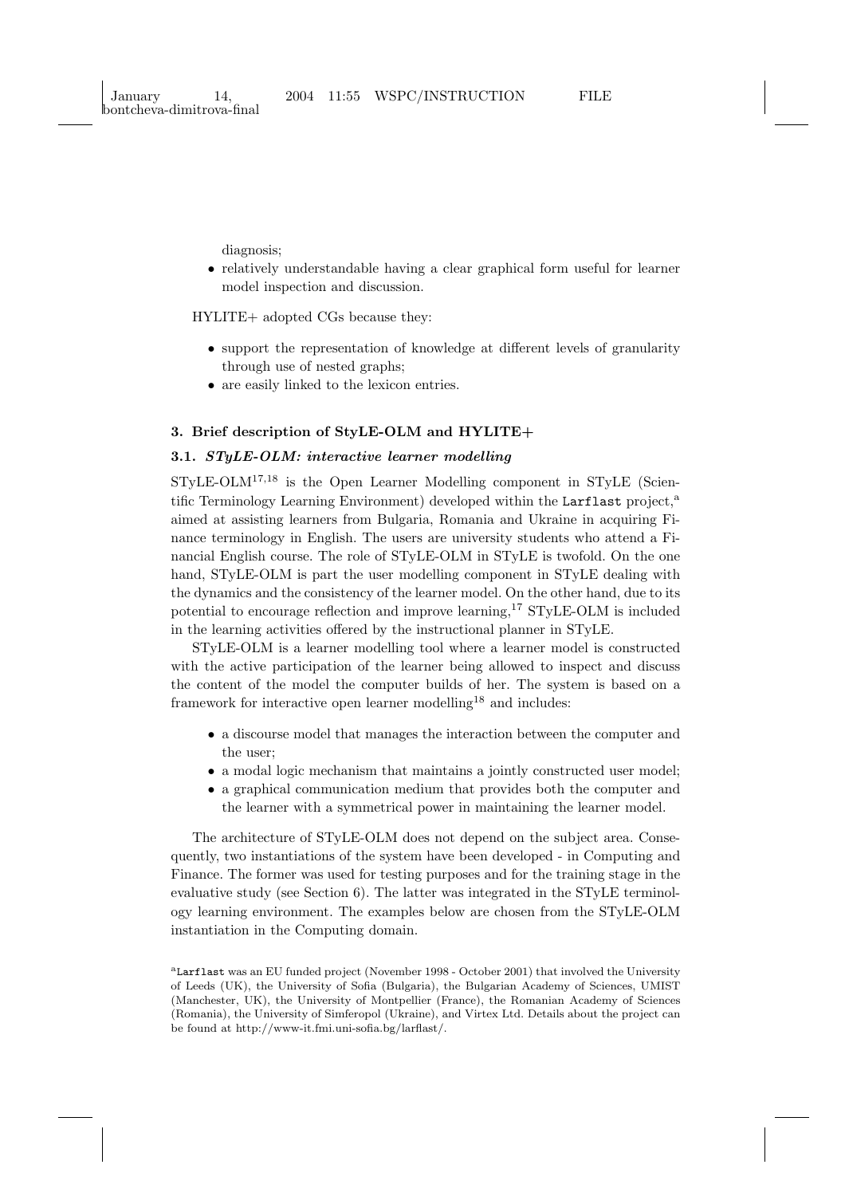diagnosis;

• relatively understandable having a clear graphical form useful for learner model inspection and discussion.

HYLITE+ adopted CGs because they:

- support the representation of knowledge at different levels of granularity through use of nested graphs;
- are easily linked to the lexicon entries.

## 3. Brief description of StyLE-OLM and HYLITE+

# 3.1. STyLE-OLM: interactive learner modelling

STyLE-OLM<sup>17</sup>,<sup>18</sup> is the Open Learner Modelling component in STyLE (Scientific Terminology Learning Environment) developed within the Larflast project,<sup>a</sup> aimed at assisting learners from Bulgaria, Romania and Ukraine in acquiring Finance terminology in English. The users are university students who attend a Financial English course. The role of STyLE-OLM in STyLE is twofold. On the one hand, STyLE-OLM is part the user modelling component in STyLE dealing with the dynamics and the consistency of the learner model. On the other hand, due to its potential to encourage reflection and improve learning,<sup>17</sup> STyLE-OLM is included in the learning activities offered by the instructional planner in STyLE.

STyLE-OLM is a learner modelling tool where a learner model is constructed with the active participation of the learner being allowed to inspect and discuss the content of the model the computer builds of her. The system is based on a framework for interactive open learner modelling<sup>18</sup> and includes:

- a discourse model that manages the interaction between the computer and the user;
- a modal logic mechanism that maintains a jointly constructed user model;
- a graphical communication medium that provides both the computer and the learner with a symmetrical power in maintaining the learner model.

The architecture of STyLE-OLM does not depend on the subject area. Consequently, two instantiations of the system have been developed - in Computing and Finance. The former was used for testing purposes and for the training stage in the evaluative study (see Section 6). The latter was integrated in the STyLE terminology learning environment. The examples below are chosen from the STyLE-OLM instantiation in the Computing domain.

<sup>a</sup>Larflast was an EU funded project (November 1998 - October 2001) that involved the University of Leeds (UK), the University of Sofia (Bulgaria), the Bulgarian Academy of Sciences, UMIST (Manchester, UK), the University of Montpellier (France), the Romanian Academy of Sciences (Romania), the University of Simferopol (Ukraine), and Virtex Ltd. Details about the project can be found at http://www-it.fmi.uni-sofia.bg/larflast/.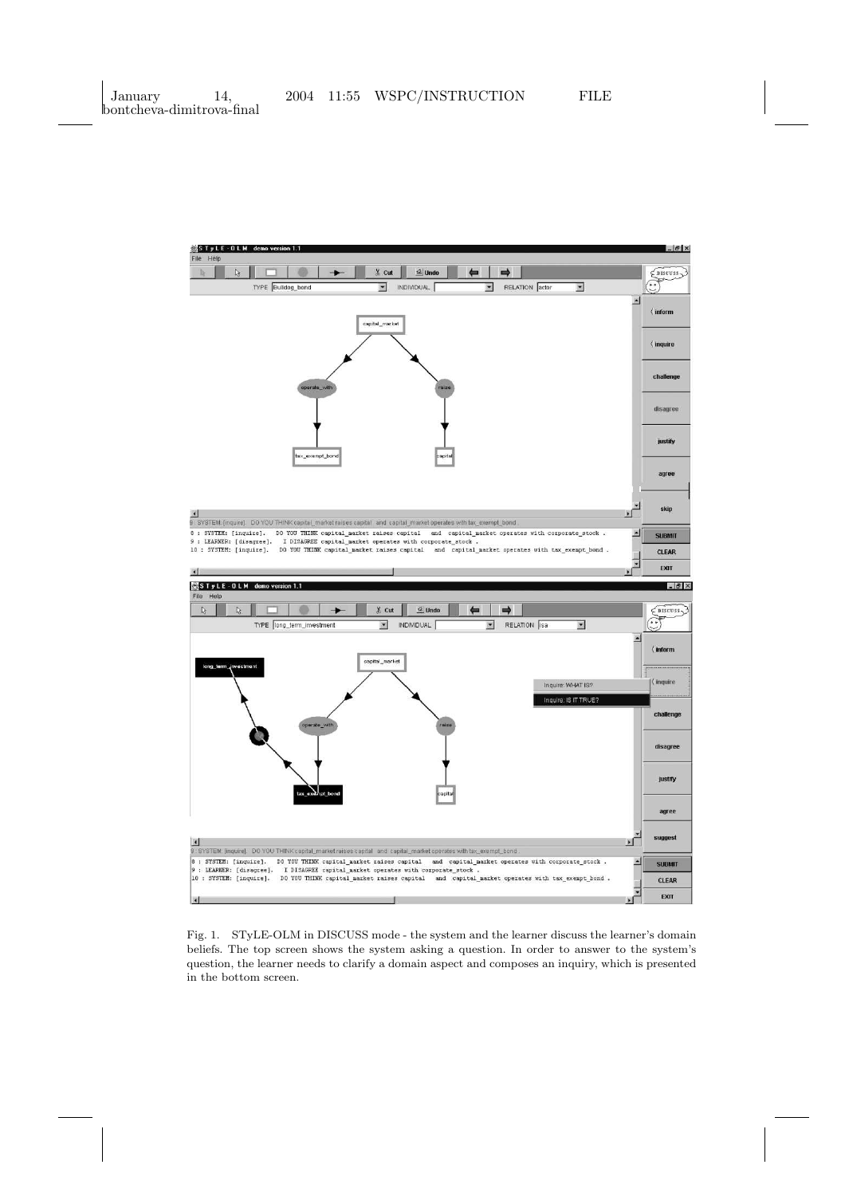

Fig. 1. STyLE-OLM in DISCUSS mode - the system and the learner discuss the learner's domain beliefs. The top screen shows the system asking a question. In order to answer to the system's question, the learner needs to clarify a domain aspect and composes an inquiry, which is presented in the bottom screen.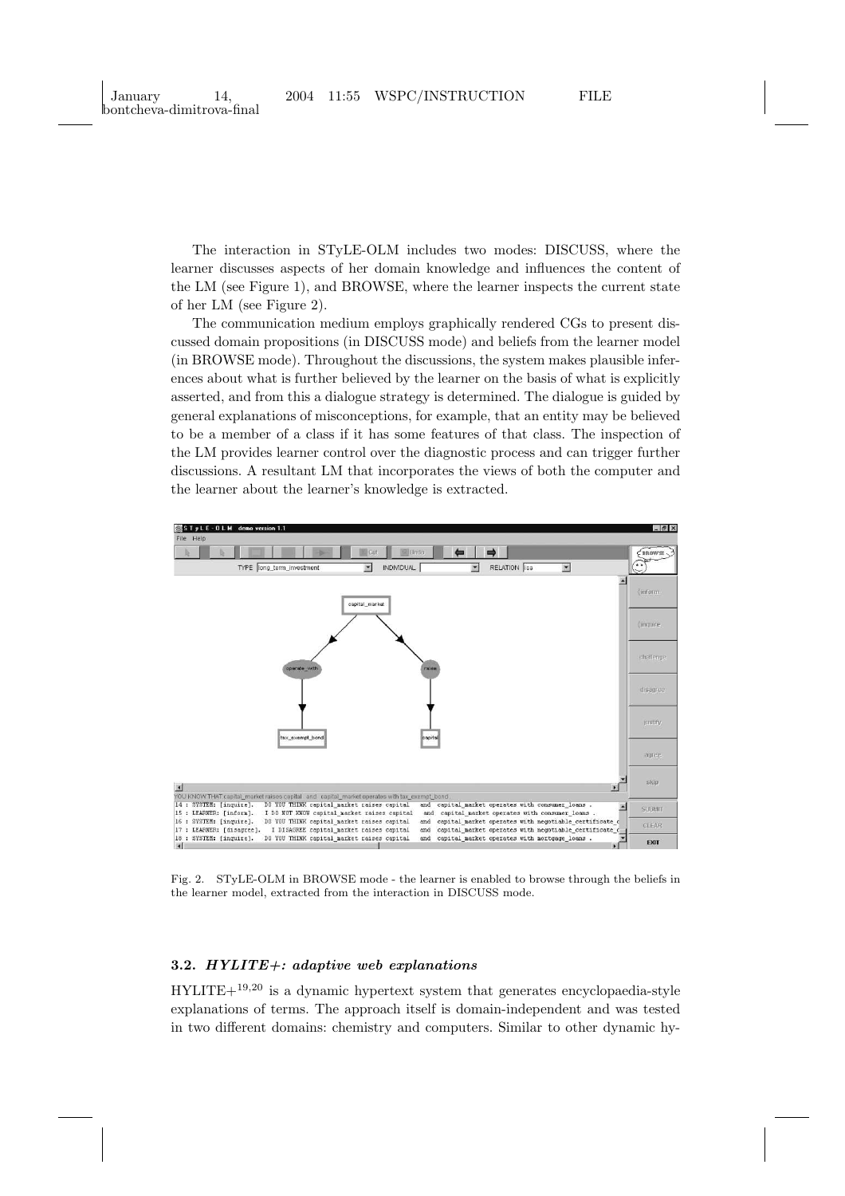The interaction in STyLE-OLM includes two modes: DISCUSS, where the learner discusses aspects of her domain knowledge and influences the content of the LM (see Figure 1), and BROWSE, where the learner inspects the current state of her LM (see Figure 2).

The communication medium employs graphically rendered CGs to present discussed domain propositions (in DISCUSS mode) and beliefs from the learner model (in BROWSE mode). Throughout the discussions, the system makes plausible inferences about what is further believed by the learner on the basis of what is explicitly asserted, and from this a dialogue strategy is determined. The dialogue is guided by general explanations of misconceptions, for example, that an entity may be believed to be a member of a class if it has some features of that class. The inspection of the LM provides learner control over the diagnostic process and can trigger further discussions. A resultant LM that incorporates the views of both the computer and the learner about the learner's knowledge is extracted.



Fig. 2. STyLE-OLM in BROWSE mode - the learner is enabled to browse through the beliefs in the learner model, extracted from the interaction in DISCUSS mode.

# 3.2.  $HYLITE++: adaptive\ web\ explanations$

 $HYLITE+<sup>19,20</sup>$  is a dynamic hypertext system that generates encyclopaedia-style explanations of terms. The approach itself is domain-independent and was tested in two different domains: chemistry and computers. Similar to other dynamic hy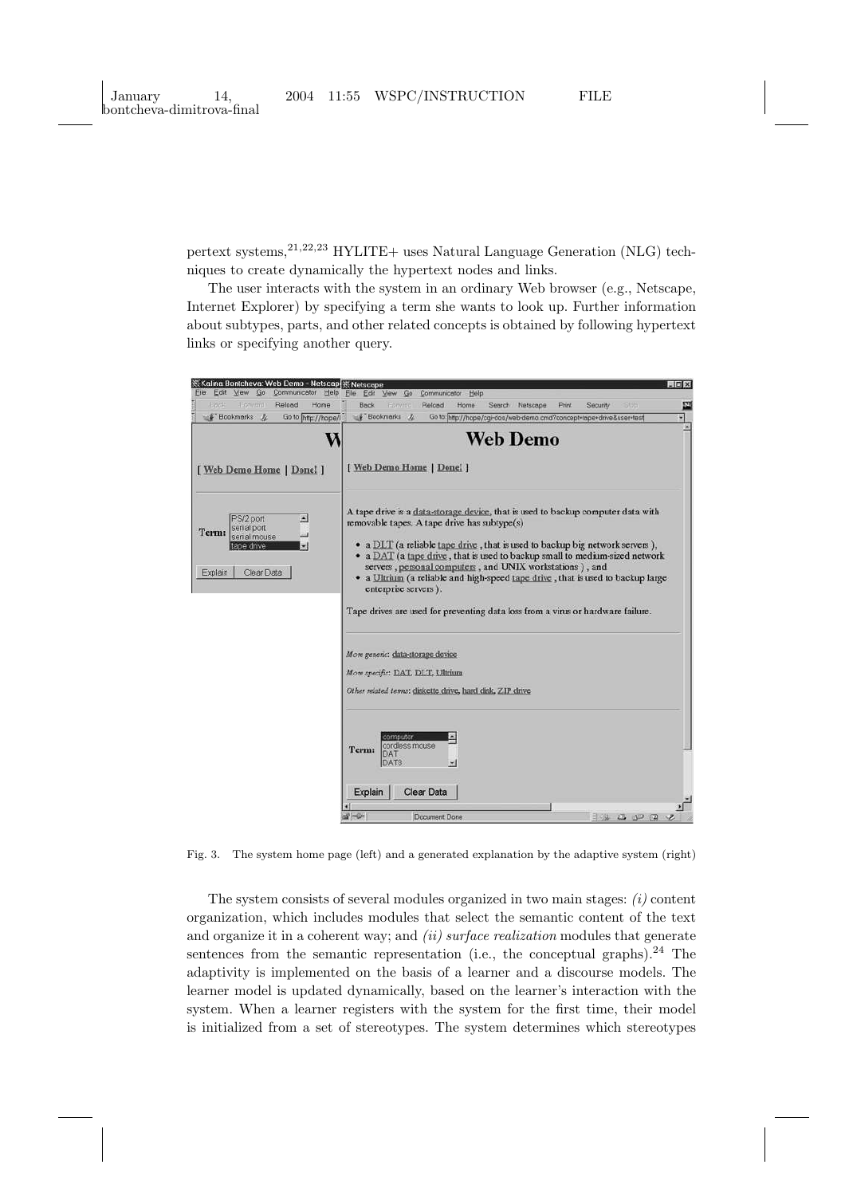pertext systems,  $21,22,23$  HYLITE + uses Natural Language Generation (NLG) techniques to create dynamically the hypertext nodes and links.

The user interacts with the system in an ordinary Web browser (e.g., Netscape, Internet Explorer) by specifying a term she wants to look up. Further information about subtypes, parts, and other related concepts is obtained by following hypertext links or specifying another query.



Fig. 3. The system home page (left) and a generated explanation by the adaptive system (right)

The system consists of several modules organized in two main stages:  $(i)$  content organization, which includes modules that select the semantic content of the text and organize it in a coherent way; and  $(ii)$  surface realization modules that generate sentences from the semantic representation (i.e., the conceptual graphs). $^{24}$  The adaptivity is implemented on the basis of a learner and a discourse models. The learner model is updated dynamically, based on the learner's interaction with the system. When a learner registers with the system for the first time, their model is initialized from a set of stereotypes. The system determines which stereotypes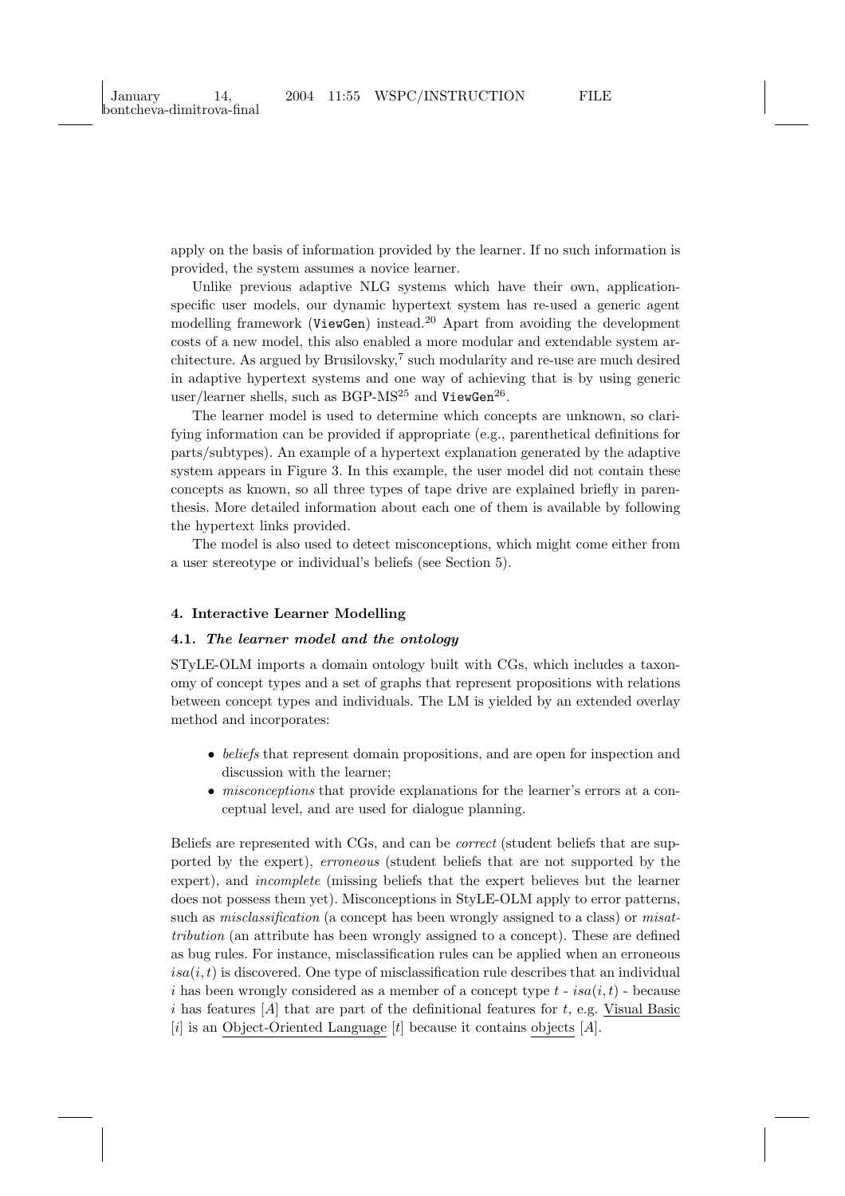apply on the basis of information provided by the learner. If no such information is provided, the system assumes a novice learner.

Unlike previous adaptive NLG systems which have their own, applicationspecific user models, our dynamic hypertext system has re-used a generic agent modelling framework (ViewGen) instead.<sup>20</sup> Apart from avoiding the development costs of a new model, this also enabled a more modular and extendable system architecture. As argued by Brusilovsky,<sup>7</sup> such modularity and re-use are much desired in adaptive hypertext systems and one way of achieving that is by using generic user/learner shells, such as BGP-MS<sup>25</sup> and  $ViewGen^{26}$ .

The learner model is used to determine which concepts are unknown, so clarifying information can be provided if appropriate (e.g., parenthetical definitions for parts/subtypes). An example of a hypertext explanation generated by the adaptive system appears in Figure 3. In this example, the user model did not contain these concepts as known, so all three types of tape drive are explained briefly in parenthesis. More detailed information about each one of them is available by following the hypertext links provided.

The model is also used to detect misconceptions, which might come either from a user stereotype or individual's beliefs (see Section 5).

## 4. Interactive Learner Modelling

## 4.1. The learner model and the ontology

STyLE-OLM imports a domain ontology built with CGs, which includes a taxonomy of concept types and a set of graphs that represent propositions with relations between concept types and individuals. The LM is yielded by an extended overlay method and incorporates:

- beliefs that represent domain propositions, and are open for inspection and discussion with the learner;
- *misconceptions* that provide explanations for the learner's errors at a conceptual level, and are used for dialogue planning.

Beliefs are represented with CGs, and can be correct (student beliefs that are supported by the expert), erroneous (student beliefs that are not supported by the expert), and incomplete (missing beliefs that the expert believes but the learner does not possess them yet). Misconceptions in StyLE-OLM apply to error patterns, such as *misclassification* (a concept has been wrongly assigned to a class) or *misat*tribution (an attribute has been wrongly assigned to a concept). These are defined as bug rules. For instance, misclassification rules can be applied when an erroneous  $isa(i, t)$  is discovered. One type of misclassification rule describes that an individual i has been wrongly considered as a member of a concept type  $t - isa(i, t)$  - because i has features  $[A]$  that are part of the definitional features for t, e.g. Visual Basic [i] is an Object-Oriented Language  $[t]$  because it contains objects [A].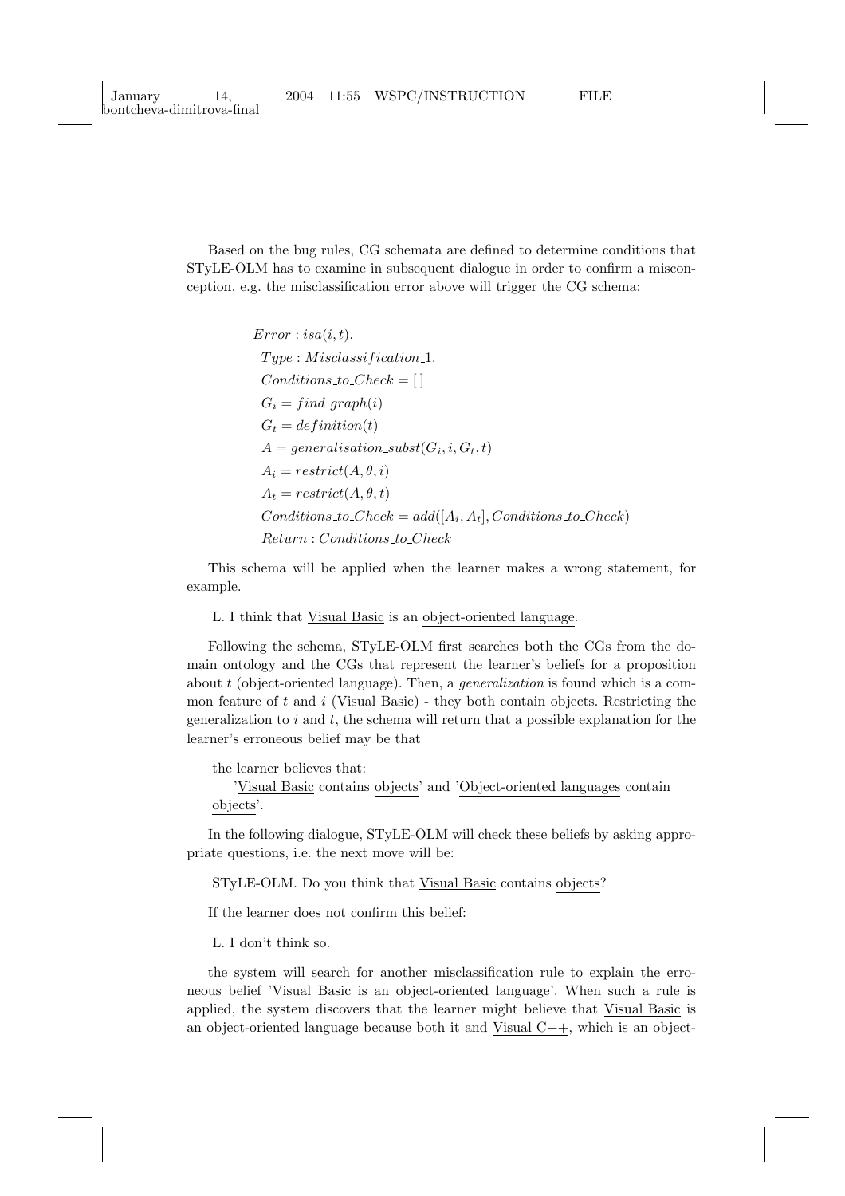Based on the bug rules, CG schemata are defined to determine conditions that STyLE-OLM has to examine in subsequent dialogue in order to confirm a misconception, e.g. the misclassification error above will trigger the CG schema:

> $Error : isa(i, t).$  $Type: Misclassification_1.$  $Conditions\_to\_Check = []$  $G_i = find\_graph(i)$  $G_t = definition(t)$  $A = generalisation\_subst(G_i, i, G_t, t)$  $A_i = restrict(A, \theta, i)$  $A_t = restrict(A, \theta, t)$  $Conditions\_to\_Check = add([A_i, A_t], Conditions\_to\_Check)$ Return : Conditions to Check

This schema will be applied when the learner makes a wrong statement, for example.

L. I think that Visual Basic is an object-oriented language.

Following the schema, STyLE-OLM first searches both the CGs from the domain ontology and the CGs that represent the learner's beliefs for a proposition about  $t$  (object-oriented language). Then, a *generalization* is found which is a common feature of  $t$  and  $i$  (Visual Basic) - they both contain objects. Restricting the generalization to  $i$  and  $t$ , the schema will return that a possible explanation for the learner's erroneous belief may be that

the learner believes that:

'Visual Basic contains objects' and 'Object-oriented languages contain objects'.

In the following dialogue, STyLE-OLM will check these beliefs by asking appropriate questions, i.e. the next move will be:

STyLE-OLM. Do you think that Visual Basic contains objects?

If the learner does not confirm this belief:

L. I don't think so.

the system will search for another misclassification rule to explain the erroneous belief 'Visual Basic is an object-oriented language'. When such a rule is applied, the system discovers that the learner might believe that Visual Basic is an object-oriented language because both it and Visual  $C_{++}$ , which is an object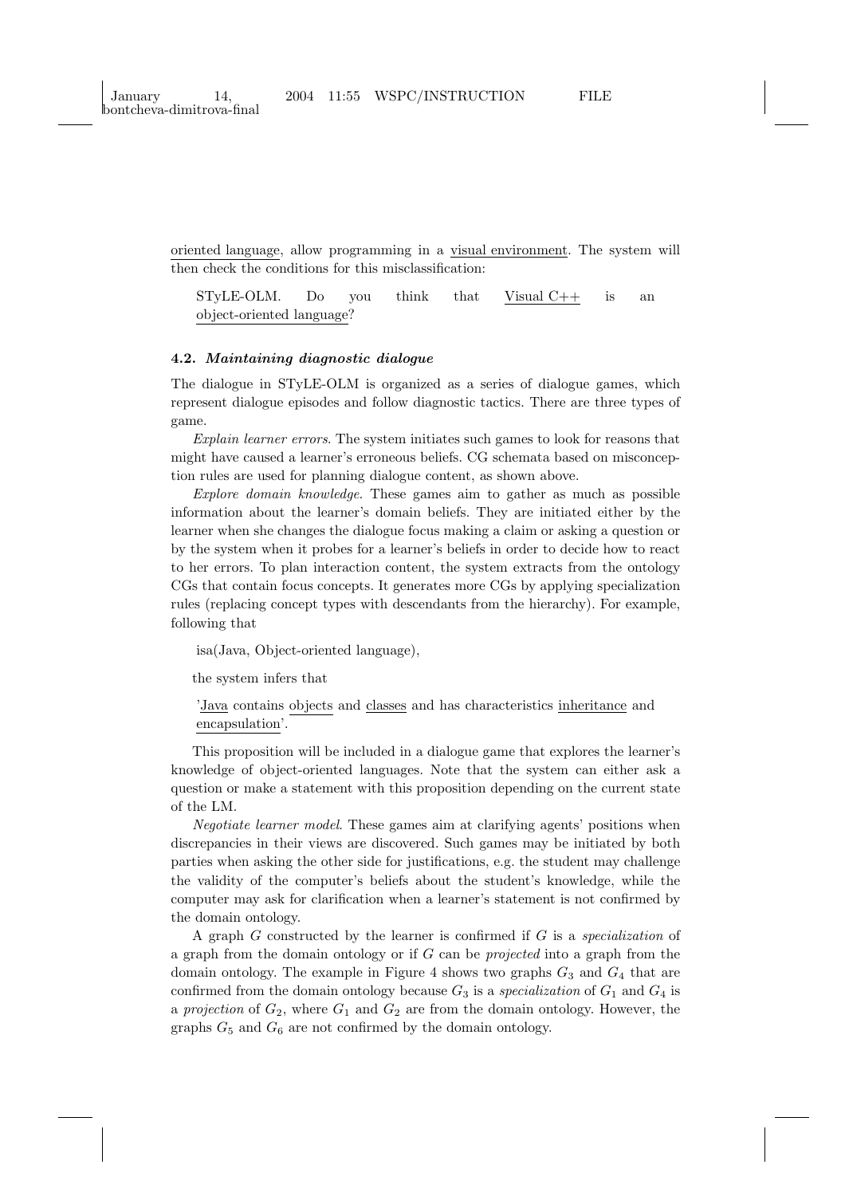oriented language, allow programming in a visual environment. The system will then check the conditions for this misclassification:

 $STyLE-OLM$ . Do you think that Visual  $C++$  is an object-oriented language?

## 4.2. Maintaining diagnostic dialogue

The dialogue in STyLE-OLM is organized as a series of dialogue games, which represent dialogue episodes and follow diagnostic tactics. There are three types of game.

Explain learner errors. The system initiates such games to look for reasons that might have caused a learner's erroneous beliefs. CG schemata based on misconception rules are used for planning dialogue content, as shown above.

Explore domain knowledge. These games aim to gather as much as possible information about the learner's domain beliefs. They are initiated either by the learner when she changes the dialogue focus making a claim or asking a question or by the system when it probes for a learner's beliefs in order to decide how to react to her errors. To plan interaction content, the system extracts from the ontology CGs that contain focus concepts. It generates more CGs by applying specialization rules (replacing concept types with descendants from the hierarchy). For example, following that

isa(Java, Object-oriented language),

the system infers that

'Java contains objects and classes and has characteristics inheritance and encapsulation'.

This proposition will be included in a dialogue game that explores the learner's knowledge of object-oriented languages. Note that the system can either ask a question or make a statement with this proposition depending on the current state of the LM.

Negotiate learner model. These games aim at clarifying agents' positions when discrepancies in their views are discovered. Such games may be initiated by both parties when asking the other side for justifications, e.g. the student may challenge the validity of the computer's beliefs about the student's knowledge, while the computer may ask for clarification when a learner's statement is not confirmed by the domain ontology.

A graph  $G$  constructed by the learner is confirmed if  $G$  is a specialization of a graph from the domain ontology or if  $G$  can be *projected* into a graph from the domain ontology. The example in Figure 4 shows two graphs  $G_3$  and  $G_4$  that are confirmed from the domain ontology because  $G_3$  is a specialization of  $G_1$  and  $G_4$  is a projection of  $G_2$ , where  $G_1$  and  $G_2$  are from the domain ontology. However, the graphs  $G_5$  and  $G_6$  are not confirmed by the domain ontology.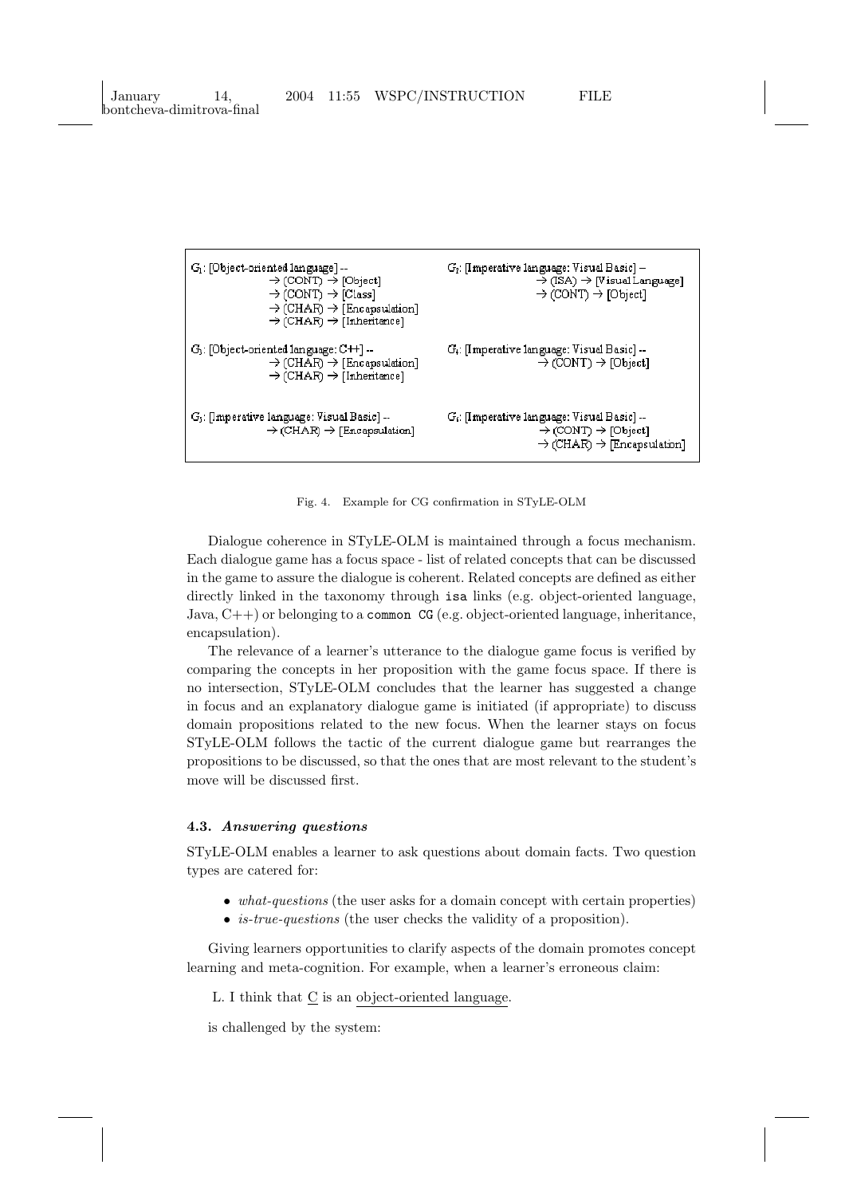```
G: [Object-oriented language] -
                                                                        G_i: [Imperative language: Visual Basic] -
                      \rightarrow (CONT) \rightarrow [Object]
                                                                                                  \rightarrow (ISA) \rightarrow [Visual Language]
                      \rightarrow (CONT) \rightarrow [Class]
                                                                                                  \rightarrow (CONT) \rightarrow [Object]
                      \rightarrow (CHAR) \rightarrow [Encapsulation]
                      \rightarrow (CHAR) \rightarrow [Inheritance]
G: [Object-oriented language: C++] --
                                                                        G.: [Imperative language: Visual Basic] --
                      \rightarrow (CHAR) \rightarrow [Encapsulation]
                                                                                                  \bar{\rightarrow} (CONT) \rightarrow [Object]
                      \rightarrow (CHAR) \rightarrow [Inheritance]
G_1: [Imperative language: Visual Basic] --
                                                                        G_i: [Imperative language: Visual Basic] --
                     \rightarrow (CHAR) \rightarrow [Encapsulation]
                                                                                                   \rightarrow (CONT) \rightarrow [Object]
                                                                                                  \rightarrow (CHAR) \rightarrow [Encapsulation]
```
Fig. 4. Example for CG confirmation in STyLE-OLM

Dialogue coherence in STyLE-OLM is maintained through a focus mechanism. Each dialogue game has a focus space - list of related concepts that can be discussed in the game to assure the dialogue is coherent. Related concepts are defined as either directly linked in the taxonomy through isa links (e.g. object-oriented language, Java,  $C_{++}$ ) or belonging to a common CG (e.g. object-oriented language, inheritance, encapsulation).

The relevance of a learner's utterance to the dialogue game focus is verified by comparing the concepts in her proposition with the game focus space. If there is no intersection, STyLE-OLM concludes that the learner has suggested a change in focus and an explanatory dialogue game is initiated (if appropriate) to discuss domain propositions related to the new focus. When the learner stays on focus STyLE-OLM follows the tactic of the current dialogue game but rearranges the propositions to be discussed, so that the ones that are most relevant to the student's move will be discussed first.

## 4.3. Answering questions

STyLE-OLM enables a learner to ask questions about domain facts. Two question types are catered for:

- what-questions (the user asks for a domain concept with certain properties)
- *is-true-questions* (the user checks the validity of a proposition).

Giving learners opportunities to clarify aspects of the domain promotes concept learning and meta-cognition. For example, when a learner's erroneous claim:

L. I think that C is an object-oriented language.

is challenged by the system: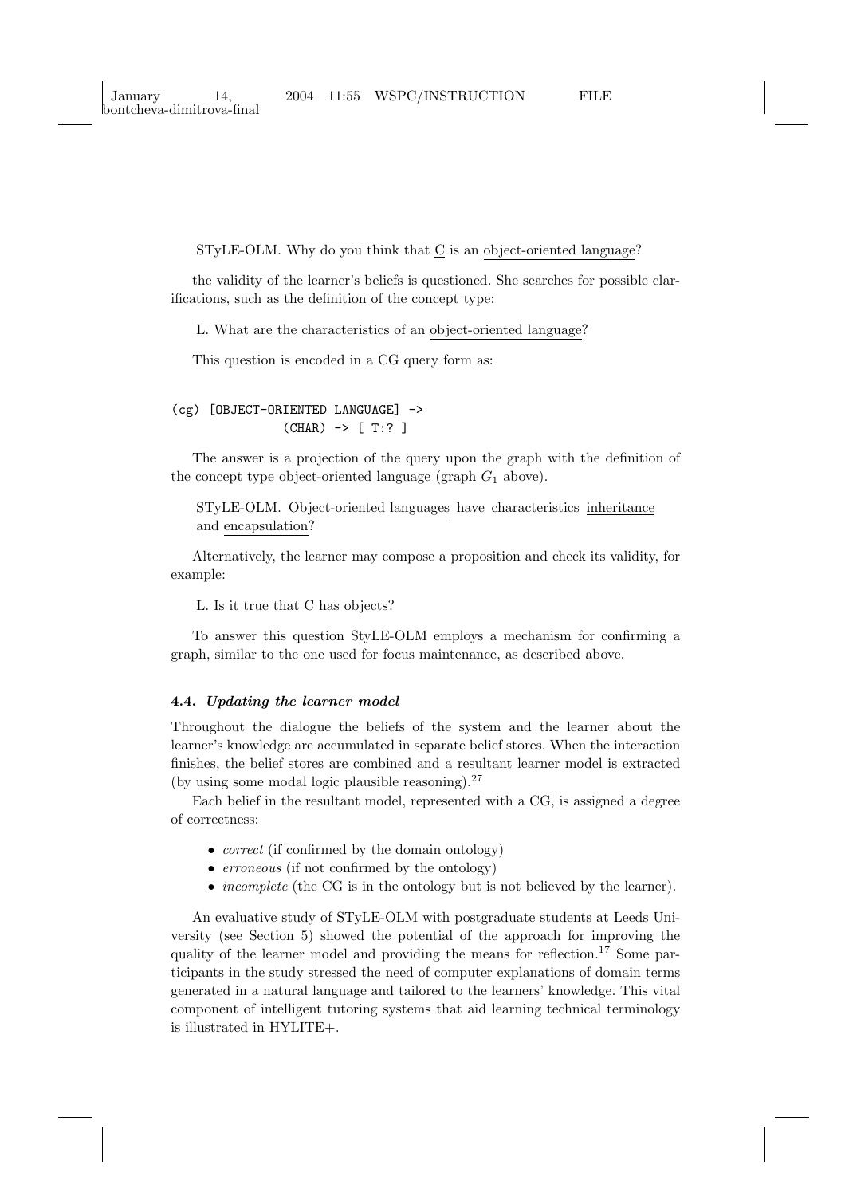STyLE-OLM. Why do you think that C is an object-oriented language?

the validity of the learner's beliefs is questioned. She searches for possible clarifications, such as the definition of the concept type:

L. What are the characteristics of an object-oriented language?

This question is encoded in a CG query form as:

(cg) [OBJECT-ORIENTED LANGUAGE] -> (CHAR) -> [ T:? ]

The answer is a projection of the query upon the graph with the definition of the concept type object-oriented language (graph  $G_1$  above).

STyLE-OLM. Object-oriented languages have characteristics inheritance and encapsulation?

Alternatively, the learner may compose a proposition and check its validity, for example:

L. Is it true that C has objects?

To answer this question StyLE-OLM employs a mechanism for confirming a graph, similar to the one used for focus maintenance, as described above.

### 4.4. Updating the learner model

Throughout the dialogue the beliefs of the system and the learner about the learner's knowledge are accumulated in separate belief stores. When the interaction finishes, the belief stores are combined and a resultant learner model is extracted (by using some modal logic plausible reasoning).<sup>27</sup>

Each belief in the resultant model, represented with a CG, is assigned a degree of correctness:

- *correct* (if confirmed by the domain ontology)
- *erroneous* (if not confirmed by the ontology)
- *incomplete* (the CG is in the ontology but is not believed by the learner).

An evaluative study of STyLE-OLM with postgraduate students at Leeds University (see Section 5) showed the potential of the approach for improving the quality of the learner model and providing the means for reflection.<sup>17</sup> Some participants in the study stressed the need of computer explanations of domain terms generated in a natural language and tailored to the learners' knowledge. This vital component of intelligent tutoring systems that aid learning technical terminology is illustrated in HYLITE+.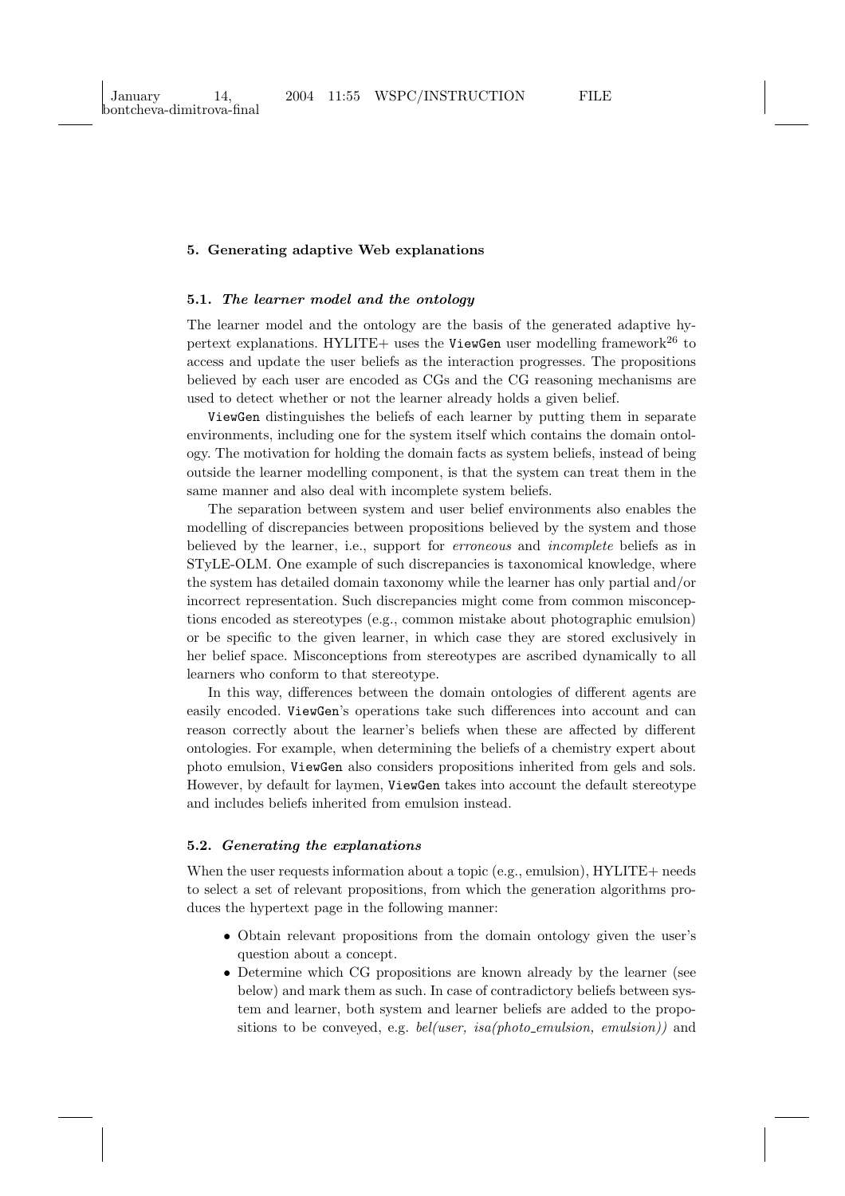#### 5. Generating adaptive Web explanations

#### 5.1. The learner model and the ontology

The learner model and the ontology are the basis of the generated adaptive hypertext explanations. HYLITE+ uses the ViewGen user modelling framework<sup>26</sup> to access and update the user beliefs as the interaction progresses. The propositions believed by each user are encoded as CGs and the CG reasoning mechanisms are used to detect whether or not the learner already holds a given belief.

ViewGen distinguishes the beliefs of each learner by putting them in separate environments, including one for the system itself which contains the domain ontology. The motivation for holding the domain facts as system beliefs, instead of being outside the learner modelling component, is that the system can treat them in the same manner and also deal with incomplete system beliefs.

The separation between system and user belief environments also enables the modelling of discrepancies between propositions believed by the system and those believed by the learner, i.e., support for erroneous and incomplete beliefs as in STyLE-OLM. One example of such discrepancies is taxonomical knowledge, where the system has detailed domain taxonomy while the learner has only partial and/or incorrect representation. Such discrepancies might come from common misconceptions encoded as stereotypes (e.g., common mistake about photographic emulsion) or be specific to the given learner, in which case they are stored exclusively in her belief space. Misconceptions from stereotypes are ascribed dynamically to all learners who conform to that stereotype.

In this way, differences between the domain ontologies of different agents are easily encoded. ViewGen's operations take such differences into account and can reason correctly about the learner's beliefs when these are affected by different ontologies. For example, when determining the beliefs of a chemistry expert about photo emulsion, ViewGen also considers propositions inherited from gels and sols. However, by default for laymen, ViewGen takes into account the default stereotype and includes beliefs inherited from emulsion instead.

## 5.2. Generating the explanations

When the user requests information about a topic (e.g., emulsion),  $HYLITE+$  needs to select a set of relevant propositions, from which the generation algorithms produces the hypertext page in the following manner:

- Obtain relevant propositions from the domain ontology given the user's question about a concept.
- Determine which CG propositions are known already by the learner (see below) and mark them as such. In case of contradictory beliefs between system and learner, both system and learner beliefs are added to the propositions to be conveyed, e.g.  $bel(user, is a(photo_emulsion, emulsion))$  and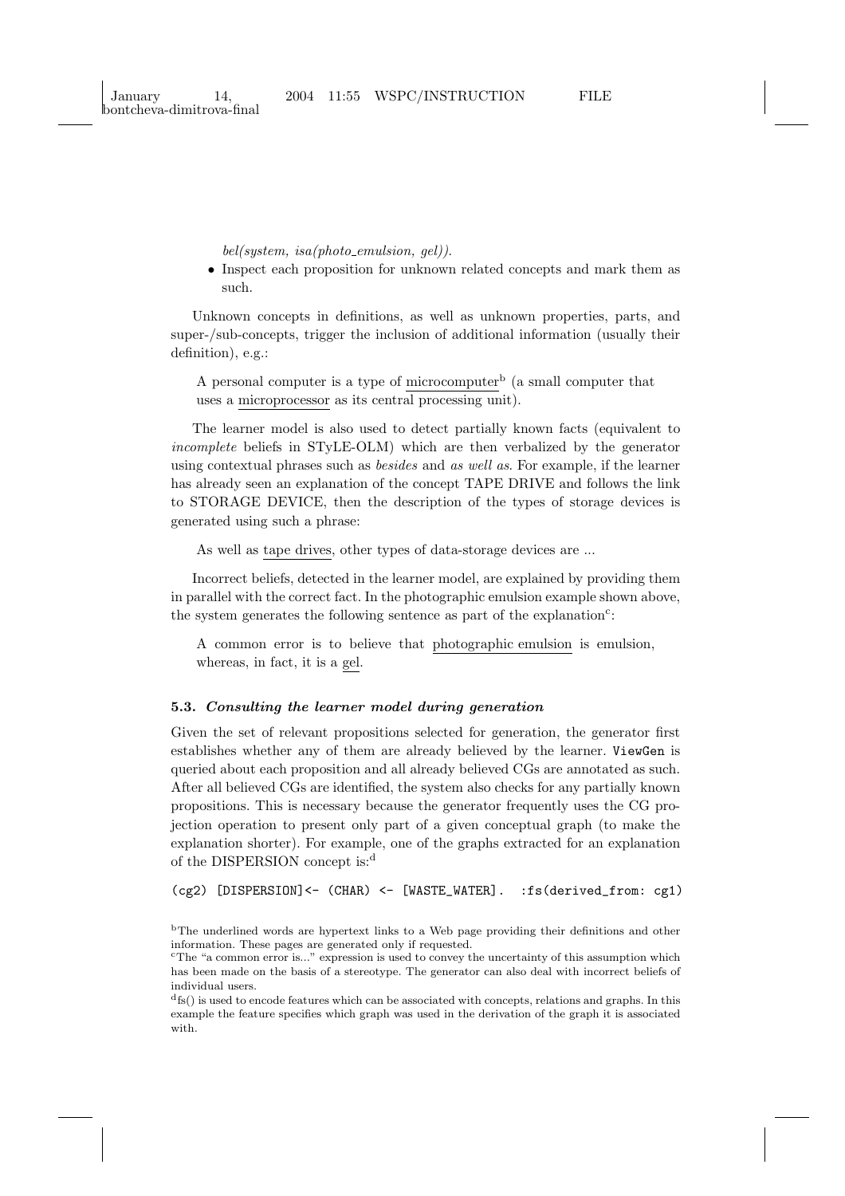- $bel(system, is a (photo-emulsion, gel)).$
- Inspect each proposition for unknown related concepts and mark them as such.

Unknown concepts in definitions, as well as unknown properties, parts, and super-/sub-concepts, trigger the inclusion of additional information (usually their definition), e.g.:

A personal computer is a type of microcomputer<sup>b</sup> (a small computer that uses a microprocessor as its central processing unit).

The learner model is also used to detect partially known facts (equivalent to incomplete beliefs in STyLE-OLM) which are then verbalized by the generator using contextual phrases such as besides and as well as. For example, if the learner has already seen an explanation of the concept TAPE DRIVE and follows the link to STORAGE DEVICE, then the description of the types of storage devices is generated using such a phrase:

As well as tape drives, other types of data-storage devices are ...

Incorrect beliefs, detected in the learner model, are explained by providing them in parallel with the correct fact. In the photographic emulsion example shown above, the system generates the following sentence as part of the explanation<sup>c</sup>:

A common error is to believe that photographic emulsion is emulsion, whereas, in fact, it is a gel.

## 5.3. Consulting the learner model during generation

Given the set of relevant propositions selected for generation, the generator first establishes whether any of them are already believed by the learner. ViewGen is queried about each proposition and all already believed CGs are annotated as such. After all believed CGs are identified, the system also checks for any partially known propositions. This is necessary because the generator frequently uses the CG projection operation to present only part of a given conceptual graph (to make the explanation shorter). For example, one of the graphs extracted for an explanation of the DISPERSION concept is:<sup>d</sup>

(cg2) [DISPERSION]<- (CHAR) <- [WASTE\_WATER]. :fs(derived\_from: cg1)

<sup>b</sup>The underlined words are hypertext links to a Web page providing their definitions and other information. These pages are generated only if requested.

 ${}^{\text{c}}$ The "a common error is..." expression is used to convey the uncertainty of this assumption which has been made on the basis of a stereotype. The generator can also deal with incorrect beliefs of individual users.

<sup>d</sup>fs() is used to encode features which can be associated with concepts, relations and graphs. In this example the feature specifies which graph was used in the derivation of the graph it is associated with.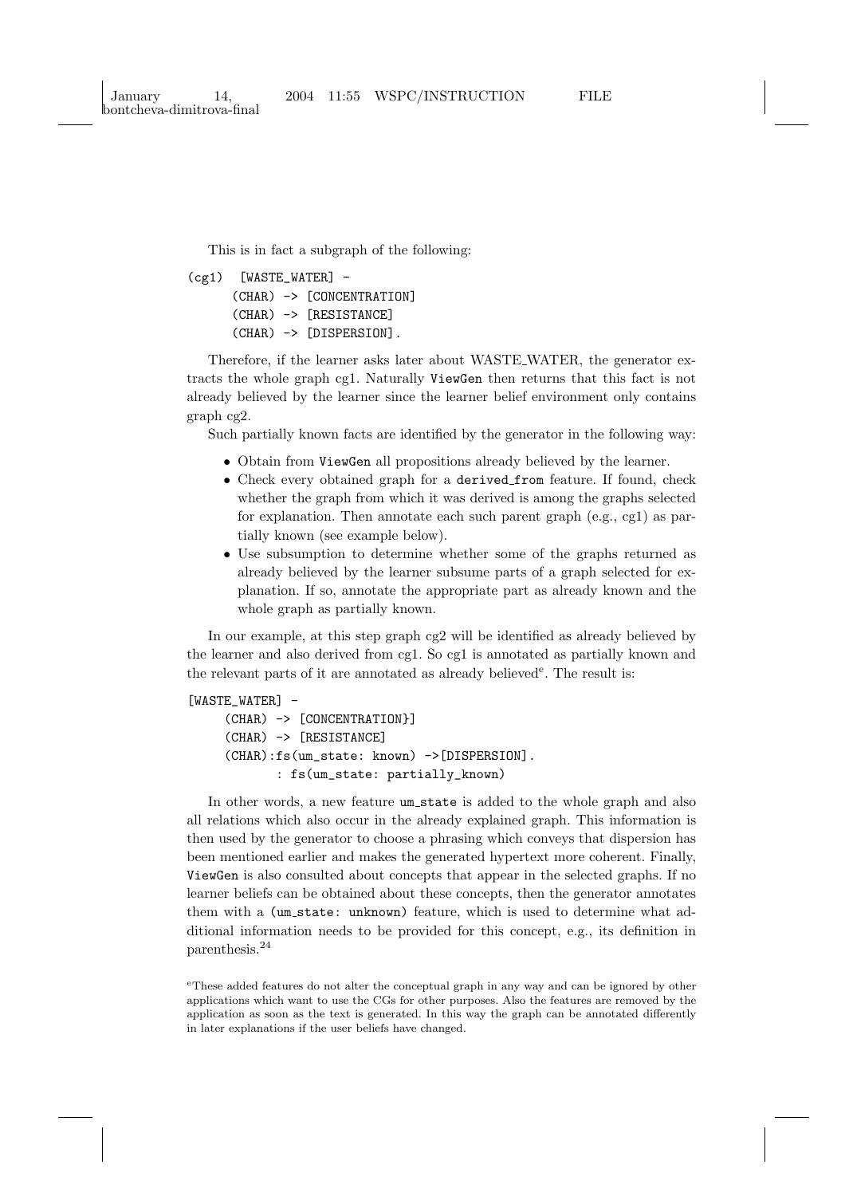This is in fact a subgraph of the following:

```
(cg1) [WASTE_WATER] -
      (CHAR) -> [CONCENTRATION]
      (CHAR) -> [RESISTANCE]
      (CHAR) -> [DISPERSION].
```
Therefore, if the learner asks later about WASTE WATER, the generator extracts the whole graph cg1. Naturally ViewGen then returns that this fact is not already believed by the learner since the learner belief environment only contains graph cg2.

Such partially known facts are identified by the generator in the following way:

- Obtain from ViewGen all propositions already believed by the learner.
- Check every obtained graph for a derived from feature. If found, check whether the graph from which it was derived is among the graphs selected for explanation. Then annotate each such parent graph (e.g., cg1) as partially known (see example below).
- Use subsumption to determine whether some of the graphs returned as already believed by the learner subsume parts of a graph selected for explanation. If so, annotate the appropriate part as already known and the whole graph as partially known.

In our example, at this step graph cg2 will be identified as already believed by the learner and also derived from cg1. So cg1 is annotated as partially known and the relevant parts of it are annotated as already believed<sup>e</sup>. The result is:

#### [WASTE\_WATER] -

```
(CHAR) -> [CONCENTRATION}]
(CHAR) -> [RESISTANCE]
(CHAR):fs(um_state: known) ->[DISPERSION].
       : fs(um_state: partially_known)
```
In other words, a new feature um state is added to the whole graph and also all relations which also occur in the already explained graph. This information is then used by the generator to choose a phrasing which conveys that dispersion has been mentioned earlier and makes the generated hypertext more coherent. Finally, ViewGen is also consulted about concepts that appear in the selected graphs. If no learner beliefs can be obtained about these concepts, then the generator annotates them with a (um state: unknown) feature, which is used to determine what additional information needs to be provided for this concept, e.g., its definition in parenthesis.<sup>24</sup>

<sup>e</sup>These added features do not alter the conceptual graph in any way and can be ignored by other applications which want to use the CGs for other purposes. Also the features are removed by the application as soon as the text is generated. In this way the graph can be annotated differently in later explanations if the user beliefs have changed.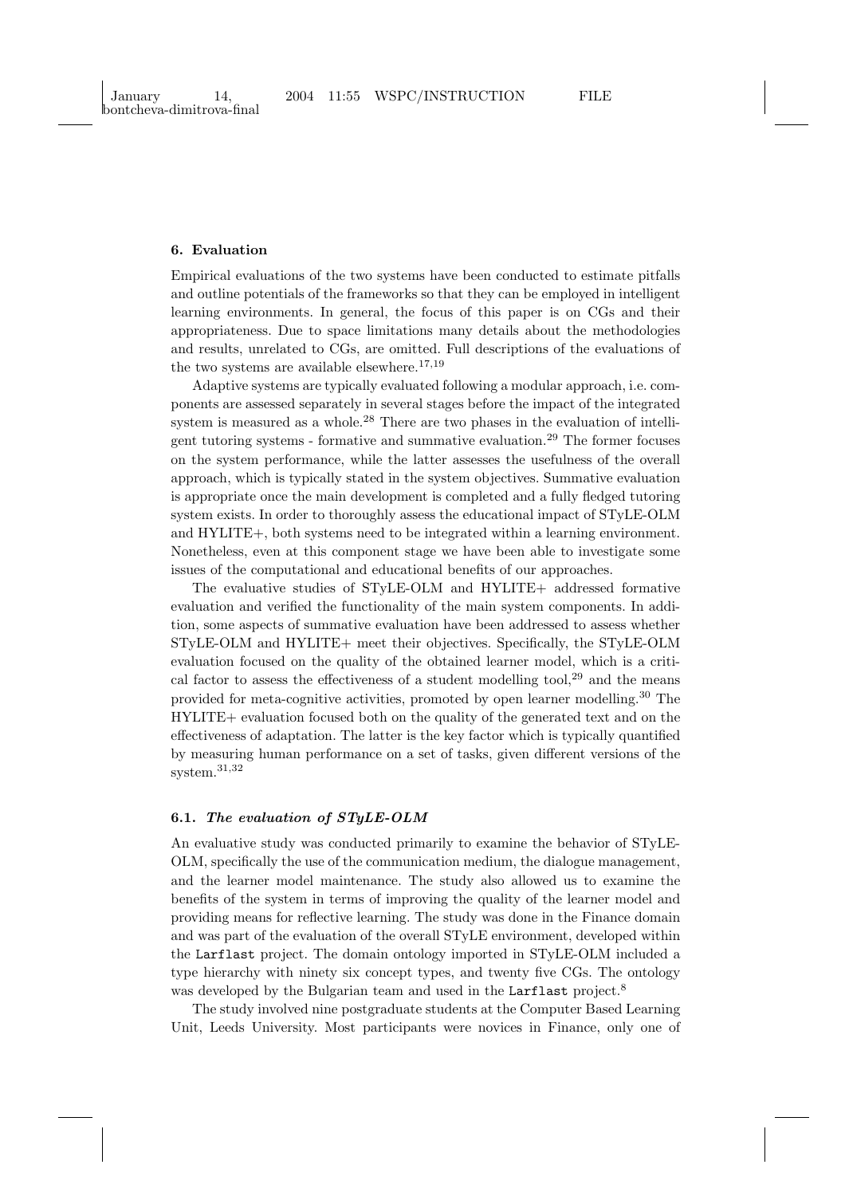#### 6. Evaluation

Empirical evaluations of the two systems have been conducted to estimate pitfalls and outline potentials of the frameworks so that they can be employed in intelligent learning environments. In general, the focus of this paper is on CGs and their appropriateness. Due to space limitations many details about the methodologies and results, unrelated to CGs, are omitted. Full descriptions of the evaluations of the two systems are available elsewhere.<sup>17,19</sup>

Adaptive systems are typically evaluated following a modular approach, i.e. components are assessed separately in several stages before the impact of the integrated system is measured as a whole.<sup>28</sup> There are two phases in the evaluation of intelligent tutoring systems - formative and summative evaluation.<sup>29</sup> The former focuses on the system performance, while the latter assesses the usefulness of the overall approach, which is typically stated in the system objectives. Summative evaluation is appropriate once the main development is completed and a fully fledged tutoring system exists. In order to thoroughly assess the educational impact of STyLE-OLM and HYLITE+, both systems need to be integrated within a learning environment. Nonetheless, even at this component stage we have been able to investigate some issues of the computational and educational benefits of our approaches.

The evaluative studies of STyLE-OLM and HYLITE+ addressed formative evaluation and verified the functionality of the main system components. In addition, some aspects of summative evaluation have been addressed to assess whether STyLE-OLM and HYLITE+ meet their objectives. Specifically, the STyLE-OLM evaluation focused on the quality of the obtained learner model, which is a critical factor to assess the effectiveness of a student modelling tool,<sup>29</sup> and the means provided for meta-cognitive activities, promoted by open learner modelling.<sup>30</sup> The HYLITE+ evaluation focused both on the quality of the generated text and on the effectiveness of adaptation. The latter is the key factor which is typically quantified by measuring human performance on a set of tasks, given different versions of the system.<sup>31</sup>,<sup>32</sup>

## 6.1. The evaluation of STyLE-OLM

An evaluative study was conducted primarily to examine the behavior of STyLE-OLM, specifically the use of the communication medium, the dialogue management, and the learner model maintenance. The study also allowed us to examine the benefits of the system in terms of improving the quality of the learner model and providing means for reflective learning. The study was done in the Finance domain and was part of the evaluation of the overall STyLE environment, developed within the Larflast project. The domain ontology imported in STyLE-OLM included a type hierarchy with ninety six concept types, and twenty five CGs. The ontology was developed by the Bulgarian team and used in the Larflast project.<sup>8</sup>

The study involved nine postgraduate students at the Computer Based Learning Unit, Leeds University. Most participants were novices in Finance, only one of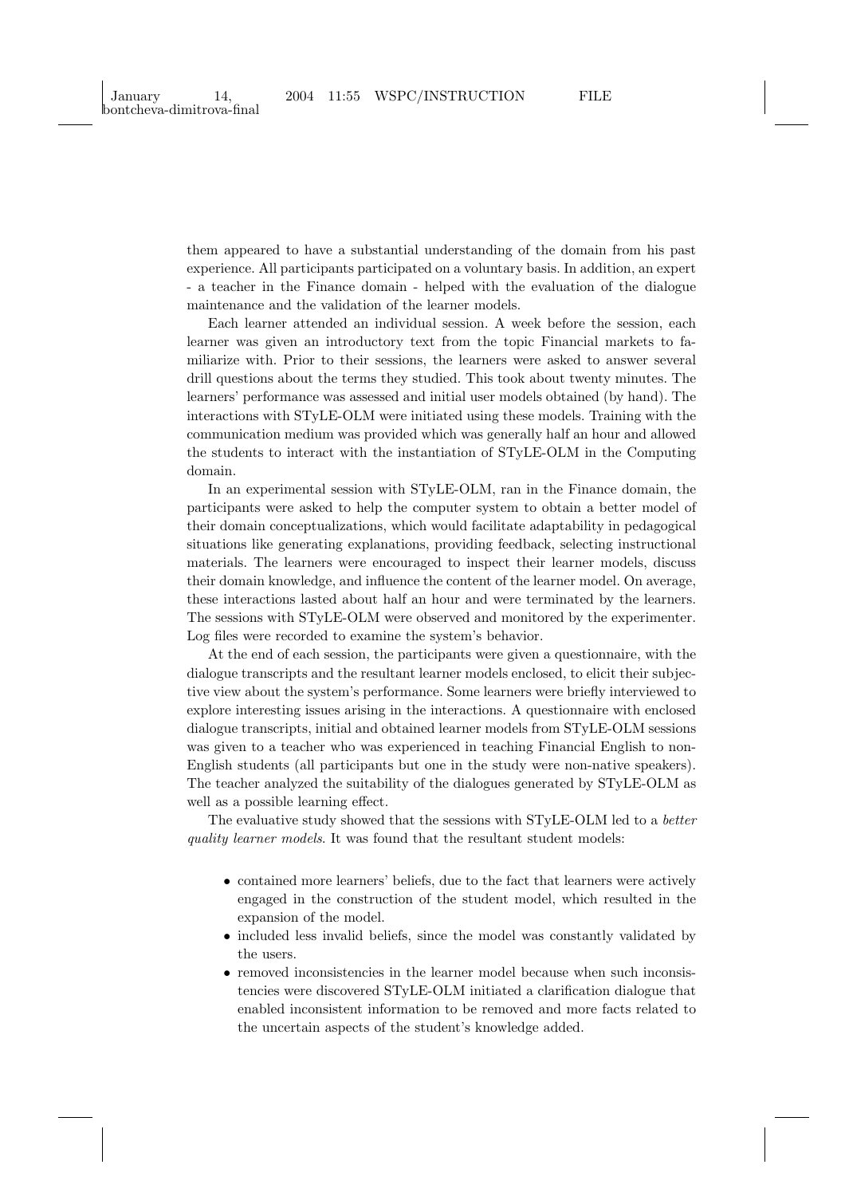them appeared to have a substantial understanding of the domain from his past experience. All participants participated on a voluntary basis. In addition, an expert - a teacher in the Finance domain - helped with the evaluation of the dialogue maintenance and the validation of the learner models.

Each learner attended an individual session. A week before the session, each learner was given an introductory text from the topic Financial markets to familiarize with. Prior to their sessions, the learners were asked to answer several drill questions about the terms they studied. This took about twenty minutes. The learners' performance was assessed and initial user models obtained (by hand). The interactions with STyLE-OLM were initiated using these models. Training with the communication medium was provided which was generally half an hour and allowed the students to interact with the instantiation of STyLE-OLM in the Computing domain.

In an experimental session with STyLE-OLM, ran in the Finance domain, the participants were asked to help the computer system to obtain a better model of their domain conceptualizations, which would facilitate adaptability in pedagogical situations like generating explanations, providing feedback, selecting instructional materials. The learners were encouraged to inspect their learner models, discuss their domain knowledge, and influence the content of the learner model. On average, these interactions lasted about half an hour and were terminated by the learners. The sessions with STyLE-OLM were observed and monitored by the experimenter. Log files were recorded to examine the system's behavior.

At the end of each session, the participants were given a questionnaire, with the dialogue transcripts and the resultant learner models enclosed, to elicit their subjective view about the system's performance. Some learners were briefly interviewed to explore interesting issues arising in the interactions. A questionnaire with enclosed dialogue transcripts, initial and obtained learner models from STyLE-OLM sessions was given to a teacher who was experienced in teaching Financial English to non-English students (all participants but one in the study were non-native speakers). The teacher analyzed the suitability of the dialogues generated by STyLE-OLM as well as a possible learning effect.

The evaluative study showed that the sessions with STyLE-OLM led to a better quality learner models. It was found that the resultant student models:

- contained more learners' beliefs, due to the fact that learners were actively engaged in the construction of the student model, which resulted in the expansion of the model.
- included less invalid beliefs, since the model was constantly validated by the users.
- removed inconsistencies in the learner model because when such inconsistencies were discovered STyLE-OLM initiated a clarification dialogue that enabled inconsistent information to be removed and more facts related to the uncertain aspects of the student's knowledge added.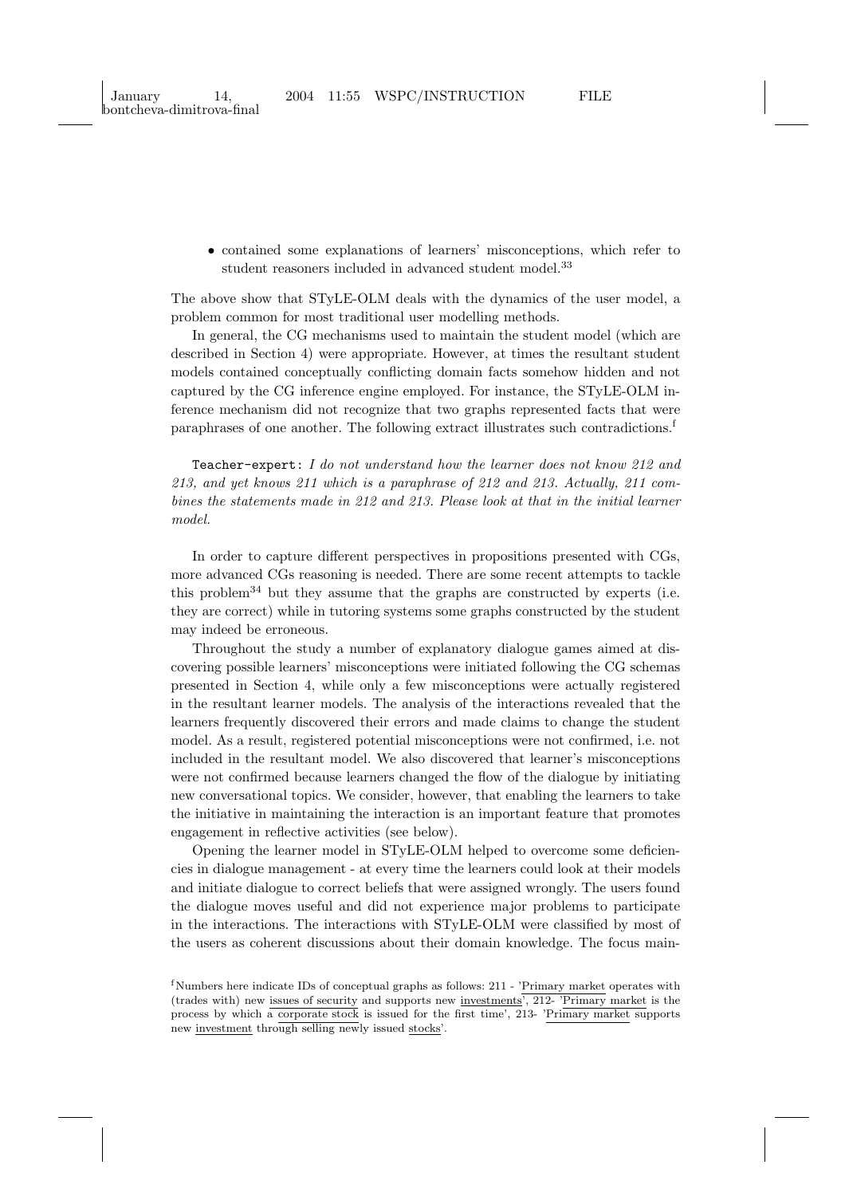• contained some explanations of learners' misconceptions, which refer to student reasoners included in advanced student model.<sup>33</sup>

The above show that STyLE-OLM deals with the dynamics of the user model, a problem common for most traditional user modelling methods.

In general, the CG mechanisms used to maintain the student model (which are described in Section 4) were appropriate. However, at times the resultant student models contained conceptually conflicting domain facts somehow hidden and not captured by the CG inference engine employed. For instance, the STyLE-OLM inference mechanism did not recognize that two graphs represented facts that were paraphrases of one another. The following extract illustrates such contradictions.<sup>f</sup>

Teacher-expert: I do not understand how the learner does not know 212 and 213, and yet knows 211 which is a paraphrase of 212 and 213. Actually, 211 combines the statements made in 212 and 213. Please look at that in the initial learner model.

In order to capture different perspectives in propositions presented with CGs, more advanced CGs reasoning is needed. There are some recent attempts to tackle this problem<sup>34</sup> but they assume that the graphs are constructed by experts (i.e. they are correct) while in tutoring systems some graphs constructed by the student may indeed be erroneous.

Throughout the study a number of explanatory dialogue games aimed at discovering possible learners' misconceptions were initiated following the CG schemas presented in Section 4, while only a few misconceptions were actually registered in the resultant learner models. The analysis of the interactions revealed that the learners frequently discovered their errors and made claims to change the student model. As a result, registered potential misconceptions were not confirmed, i.e. not included in the resultant model. We also discovered that learner's misconceptions were not confirmed because learners changed the flow of the dialogue by initiating new conversational topics. We consider, however, that enabling the learners to take the initiative in maintaining the interaction is an important feature that promotes engagement in reflective activities (see below).

Opening the learner model in STyLE-OLM helped to overcome some deficiencies in dialogue management - at every time the learners could look at their models and initiate dialogue to correct beliefs that were assigned wrongly. The users found the dialogue moves useful and did not experience major problems to participate in the interactions. The interactions with STyLE-OLM were classified by most of the users as coherent discussions about their domain knowledge. The focus main-

 $f$ Numbers here indicate IDs of conceptual graphs as follows: 211 - 'Primary market operates with (trades with) new issues of security and supports new investments', 212- 'Primary market is the process by which a corporate stock is issued for the first time', 213- 'Primary market supports new investment through selling newly issued stocks'.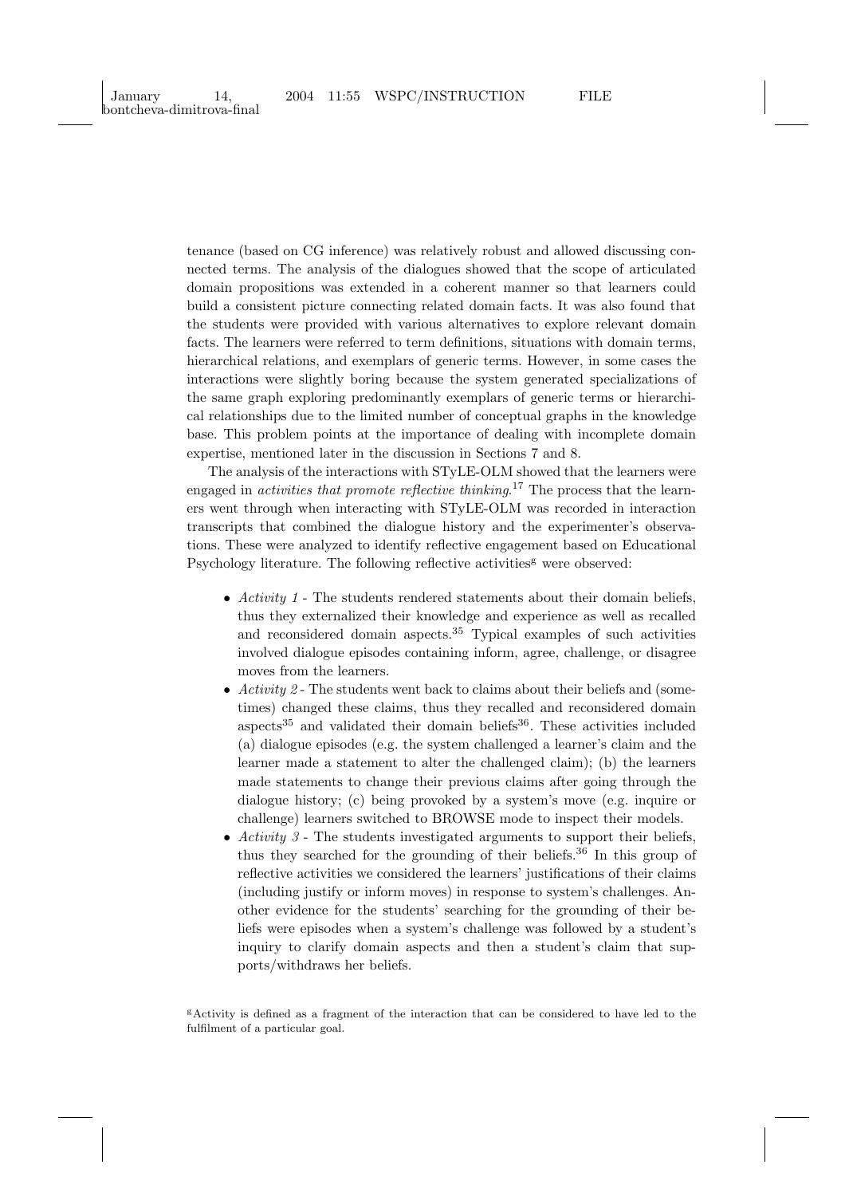tenance (based on CG inference) was relatively robust and allowed discussing connected terms. The analysis of the dialogues showed that the scope of articulated domain propositions was extended in a coherent manner so that learners could build a consistent picture connecting related domain facts. It was also found that the students were provided with various alternatives to explore relevant domain facts. The learners were referred to term definitions, situations with domain terms, hierarchical relations, and exemplars of generic terms. However, in some cases the interactions were slightly boring because the system generated specializations of the same graph exploring predominantly exemplars of generic terms or hierarchical relationships due to the limited number of conceptual graphs in the knowledge base. This problem points at the importance of dealing with incomplete domain expertise, mentioned later in the discussion in Sections 7 and 8.

The analysis of the interactions with STyLE-OLM showed that the learners were engaged in *activities that promote reflective thinking*.<sup>17</sup> The process that the learners went through when interacting with STyLE-OLM was recorded in interaction transcripts that combined the dialogue history and the experimenter's observations. These were analyzed to identify reflective engagement based on Educational Psychology literature. The following reflective activities<sup> $g$ </sup> were observed:

- Activity  $1$  The students rendered statements about their domain beliefs, thus they externalized their knowledge and experience as well as recalled and reconsidered domain aspects.<sup>35</sup> Typical examples of such activities involved dialogue episodes containing inform, agree, challenge, or disagree moves from the learners.
- Activity  $2$  The students went back to claims about their beliefs and (sometimes) changed these claims, thus they recalled and reconsidered domain aspects<sup>35</sup> and validated their domain beliefs<sup>36</sup>. These activities included (a) dialogue episodes (e.g. the system challenged a learner's claim and the learner made a statement to alter the challenged claim); (b) the learners made statements to change their previous claims after going through the dialogue history; (c) being provoked by a system's move (e.g. inquire or challenge) learners switched to BROWSE mode to inspect their models.
- Activity  $\beta$  The students investigated arguments to support their beliefs, thus they searched for the grounding of their beliefs.<sup>36</sup> In this group of reflective activities we considered the learners' justifications of their claims (including justify or inform moves) in response to system's challenges. Another evidence for the students' searching for the grounding of their beliefs were episodes when a system's challenge was followed by a student's inquiry to clarify domain aspects and then a student's claim that supports/withdraws her beliefs.

<sup>g</sup>Activity is defined as a fragment of the interaction that can be considered to have led to the fulfilment of a particular goal.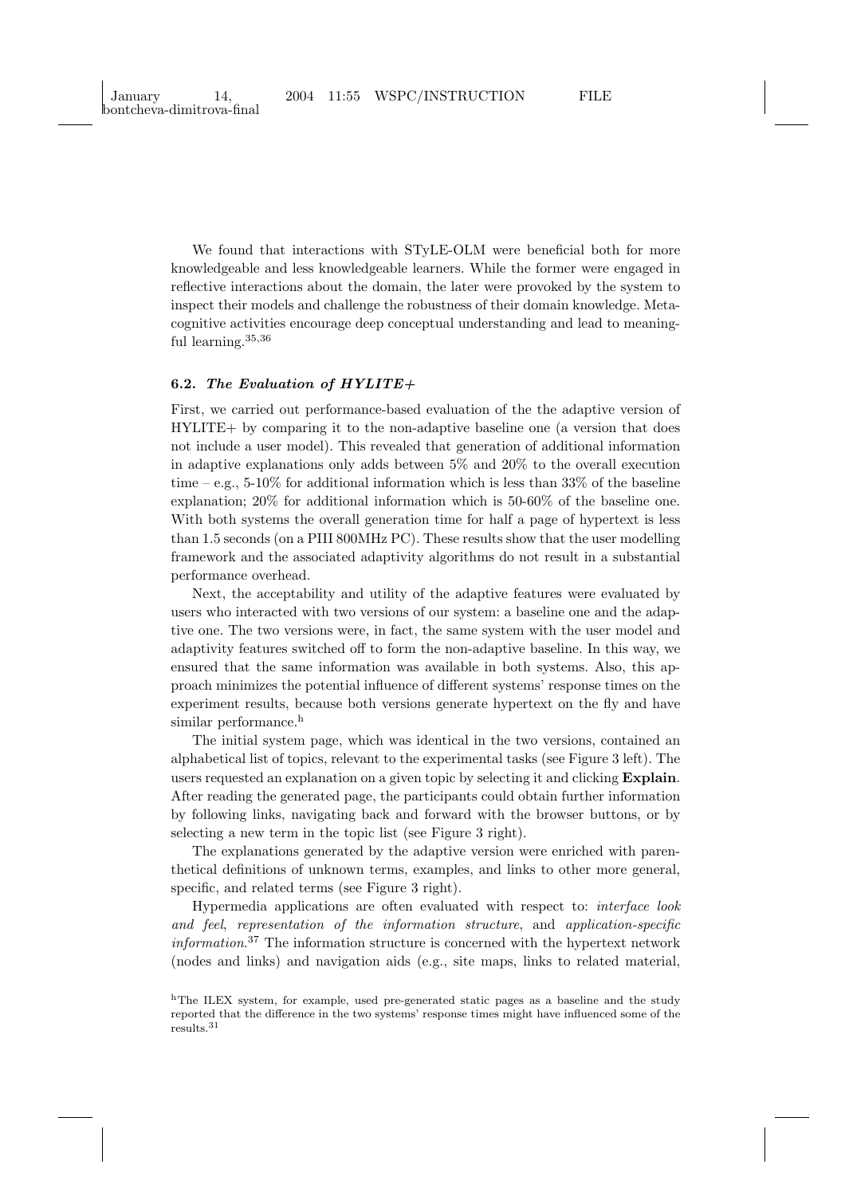We found that interactions with STyLE-OLM were beneficial both for more knowledgeable and less knowledgeable learners. While the former were engaged in reflective interactions about the domain, the later were provoked by the system to inspect their models and challenge the robustness of their domain knowledge. Metacognitive activities encourage deep conceptual understanding and lead to meaningful learning.<sup>35</sup>,<sup>36</sup>

## 6.2. The Evaluation of  $HYLITE+$

First, we carried out performance-based evaluation of the the adaptive version of HYLITE+ by comparing it to the non-adaptive baseline one (a version that does not include a user model). This revealed that generation of additional information in adaptive explanations only adds between 5% and 20% to the overall execution time – e.g.,  $5{\text -}10\%$  for additional information which is less than 33% of the baseline explanation; 20% for additional information which is 50-60% of the baseline one. With both systems the overall generation time for half a page of hypertext is less than 1.5 seconds (on a PIII 800MHz PC). These results show that the user modelling framework and the associated adaptivity algorithms do not result in a substantial performance overhead.

Next, the acceptability and utility of the adaptive features were evaluated by users who interacted with two versions of our system: a baseline one and the adaptive one. The two versions were, in fact, the same system with the user model and adaptivity features switched off to form the non-adaptive baseline. In this way, we ensured that the same information was available in both systems. Also, this approach minimizes the potential influence of different systems' response times on the experiment results, because both versions generate hypertext on the fly and have similar performance.<sup>h</sup>

The initial system page, which was identical in the two versions, contained an alphabetical list of topics, relevant to the experimental tasks (see Figure 3 left). The users requested an explanation on a given topic by selecting it and clicking Explain. After reading the generated page, the participants could obtain further information by following links, navigating back and forward with the browser buttons, or by selecting a new term in the topic list (see Figure 3 right).

The explanations generated by the adaptive version were enriched with parenthetical definitions of unknown terms, examples, and links to other more general, specific, and related terms (see Figure 3 right).

Hypermedia applications are often evaluated with respect to: interface look and feel, representation of the information structure, and application-specific information.<sup>37</sup> The information structure is concerned with the hypertext network (nodes and links) and navigation aids (e.g., site maps, links to related material,

<sup>&</sup>lt;sup>h</sup>The ILEX system, for example, used pre-generated static pages as a baseline and the study reported that the difference in the two systems' response times might have influenced some of the results.<sup>31</sup>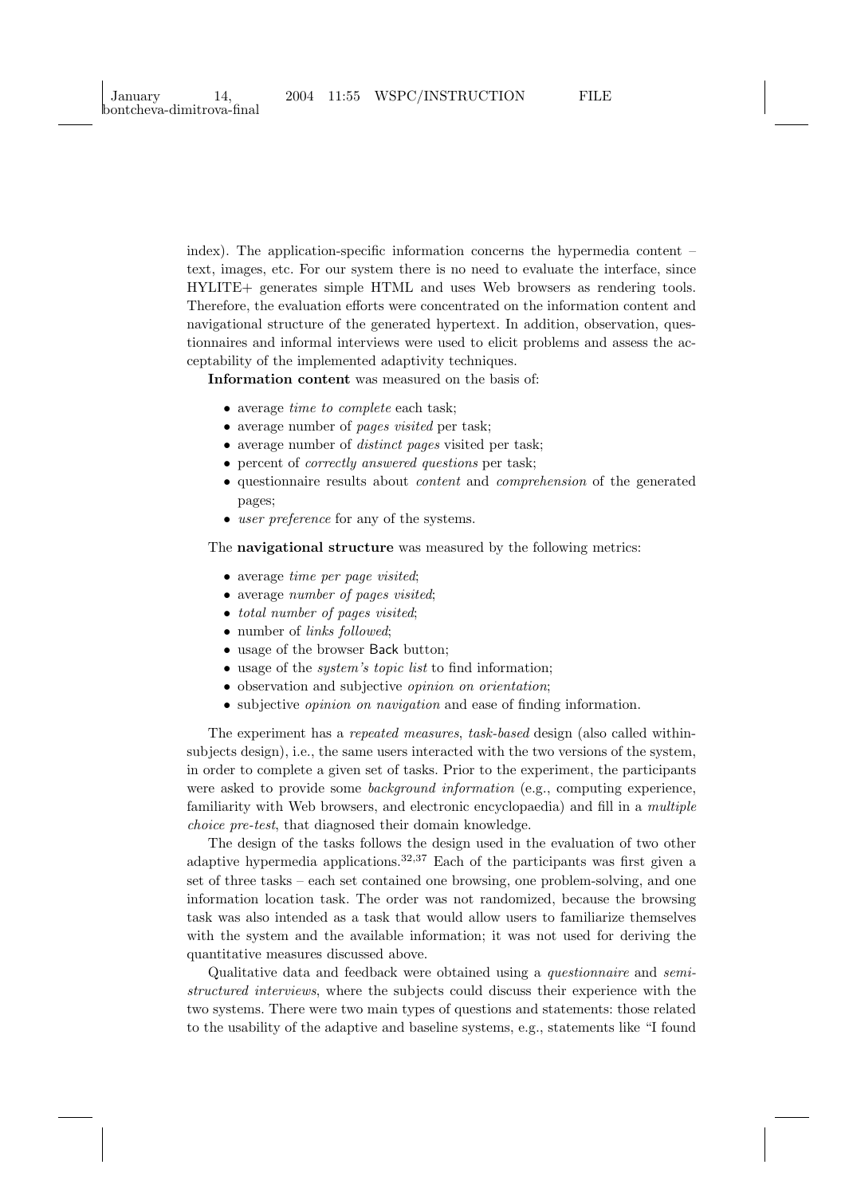index). The application-specific information concerns the hypermedia content – text, images, etc. For our system there is no need to evaluate the interface, since HYLITE+ generates simple HTML and uses Web browsers as rendering tools. Therefore, the evaluation efforts were concentrated on the information content and navigational structure of the generated hypertext. In addition, observation, questionnaires and informal interviews were used to elicit problems and assess the acceptability of the implemented adaptivity techniques.

Information content was measured on the basis of:

- average *time to complete* each task;
- average number of *pages visited* per task;
- average number of *distinct pages* visited per task;
- percent of *correctly answered questions* per task;
- questionnaire results about *content* and *comprehension* of the generated pages;
- user preference for any of the systems.

The navigational structure was measured by the following metrics:

- average time per page visited;
- average *number* of pages visited;
- total number of pages visited;
- number of *links followed*;
- usage of the browser Back button;
- usage of the *system's topic list* to find information;
- observation and subjective *opinion* on *orientation*;
- subjective opinion on navigation and ease of finding information.

The experiment has a repeated measures, task-based design (also called withinsubjects design), i.e., the same users interacted with the two versions of the system, in order to complete a given set of tasks. Prior to the experiment, the participants were asked to provide some *background information* (e.g., computing experience, familiarity with Web browsers, and electronic encyclopaedia) and fill in a multiple choice pre-test, that diagnosed their domain knowledge.

The design of the tasks follows the design used in the evaluation of two other adaptive hypermedia applications.<sup>32,37</sup> Each of the participants was first given a set of three tasks – each set contained one browsing, one problem-solving, and one information location task. The order was not randomized, because the browsing task was also intended as a task that would allow users to familiarize themselves with the system and the available information; it was not used for deriving the quantitative measures discussed above.

Qualitative data and feedback were obtained using a questionnaire and semistructured interviews, where the subjects could discuss their experience with the two systems. There were two main types of questions and statements: those related to the usability of the adaptive and baseline systems, e.g., statements like "I found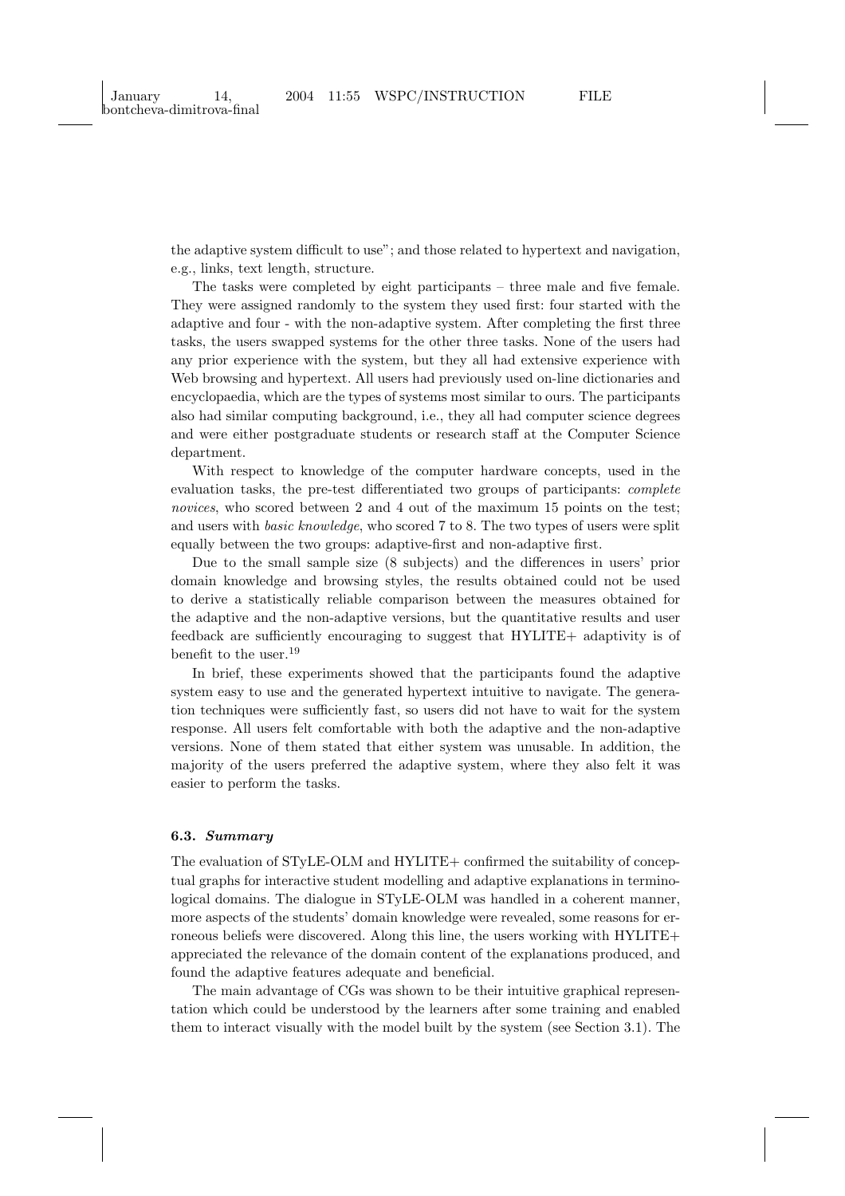the adaptive system difficult to use"; and those related to hypertext and navigation, e.g., links, text length, structure.

The tasks were completed by eight participants – three male and five female. They were assigned randomly to the system they used first: four started with the adaptive and four - with the non-adaptive system. After completing the first three tasks, the users swapped systems for the other three tasks. None of the users had any prior experience with the system, but they all had extensive experience with Web browsing and hypertext. All users had previously used on-line dictionaries and encyclopaedia, which are the types of systems most similar to ours. The participants also had similar computing background, i.e., they all had computer science degrees and were either postgraduate students or research staff at the Computer Science department.

With respect to knowledge of the computer hardware concepts, used in the evaluation tasks, the pre-test differentiated two groups of participants: complete novices, who scored between 2 and 4 out of the maximum 15 points on the test; and users with basic knowledge, who scored 7 to 8. The two types of users were split equally between the two groups: adaptive-first and non-adaptive first.

Due to the small sample size (8 subjects) and the differences in users' prior domain knowledge and browsing styles, the results obtained could not be used to derive a statistically reliable comparison between the measures obtained for the adaptive and the non-adaptive versions, but the quantitative results and user feedback are sufficiently encouraging to suggest that HYLITE+ adaptivity is of benefit to the user.<sup>19</sup>

In brief, these experiments showed that the participants found the adaptive system easy to use and the generated hypertext intuitive to navigate. The generation techniques were sufficiently fast, so users did not have to wait for the system response. All users felt comfortable with both the adaptive and the non-adaptive versions. None of them stated that either system was unusable. In addition, the majority of the users preferred the adaptive system, where they also felt it was easier to perform the tasks.

## 6.3. Summary

The evaluation of STyLE-OLM and HYLITE+ confirmed the suitability of conceptual graphs for interactive student modelling and adaptive explanations in terminological domains. The dialogue in STyLE-OLM was handled in a coherent manner, more aspects of the students' domain knowledge were revealed, some reasons for erroneous beliefs were discovered. Along this line, the users working with  $HYLITE+$ appreciated the relevance of the domain content of the explanations produced, and found the adaptive features adequate and beneficial.

The main advantage of CGs was shown to be their intuitive graphical representation which could be understood by the learners after some training and enabled them to interact visually with the model built by the system (see Section 3.1). The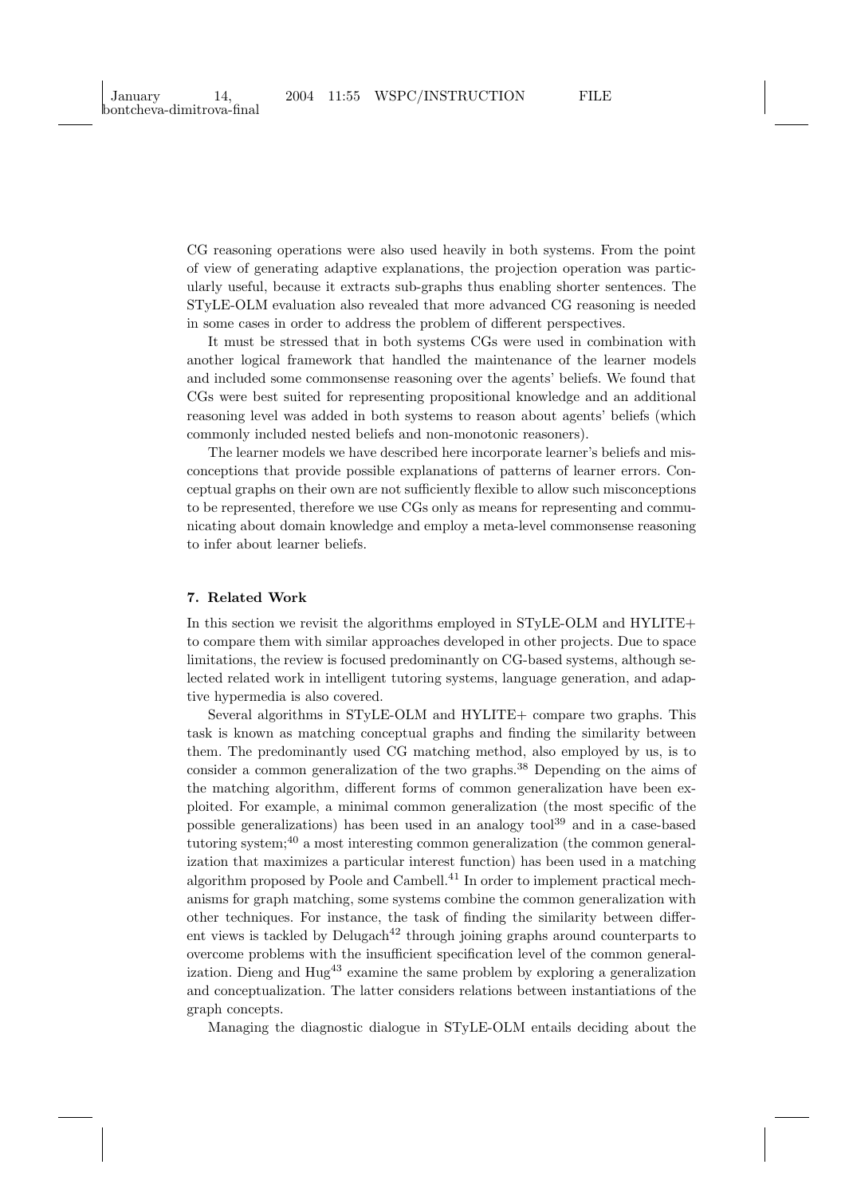CG reasoning operations were also used heavily in both systems. From the point of view of generating adaptive explanations, the projection operation was particularly useful, because it extracts sub-graphs thus enabling shorter sentences. The STyLE-OLM evaluation also revealed that more advanced CG reasoning is needed in some cases in order to address the problem of different perspectives.

It must be stressed that in both systems CGs were used in combination with another logical framework that handled the maintenance of the learner models and included some commonsense reasoning over the agents' beliefs. We found that CGs were best suited for representing propositional knowledge and an additional reasoning level was added in both systems to reason about agents' beliefs (which commonly included nested beliefs and non-monotonic reasoners).

The learner models we have described here incorporate learner's beliefs and misconceptions that provide possible explanations of patterns of learner errors. Conceptual graphs on their own are not sufficiently flexible to allow such misconceptions to be represented, therefore we use CGs only as means for representing and communicating about domain knowledge and employ a meta-level commonsense reasoning to infer about learner beliefs.

## 7. Related Work

In this section we revisit the algorithms employed in STyLE-OLM and HYLITE+ to compare them with similar approaches developed in other projects. Due to space limitations, the review is focused predominantly on CG-based systems, although selected related work in intelligent tutoring systems, language generation, and adaptive hypermedia is also covered.

Several algorithms in STyLE-OLM and HYLITE+ compare two graphs. This task is known as matching conceptual graphs and finding the similarity between them. The predominantly used CG matching method, also employed by us, is to consider a common generalization of the two graphs.<sup>38</sup> Depending on the aims of the matching algorithm, different forms of common generalization have been exploited. For example, a minimal common generalization (the most specific of the possible generalizations) has been used in an analogy tool<sup>39</sup> and in a case-based tutoring system;<sup>40</sup> a most interesting common generalization (the common generalization that maximizes a particular interest function) has been used in a matching algorithm proposed by Poole and Cambell.<sup>41</sup> In order to implement practical mechanisms for graph matching, some systems combine the common generalization with other techniques. For instance, the task of finding the similarity between different views is tackled by Delugach<sup> $42$ </sup> through joining graphs around counterparts to overcome problems with the insufficient specification level of the common generalization. Dieng and  $H^{\text{u}}e^{43}$  examine the same problem by exploring a generalization and conceptualization. The latter considers relations between instantiations of the graph concepts.

Managing the diagnostic dialogue in STyLE-OLM entails deciding about the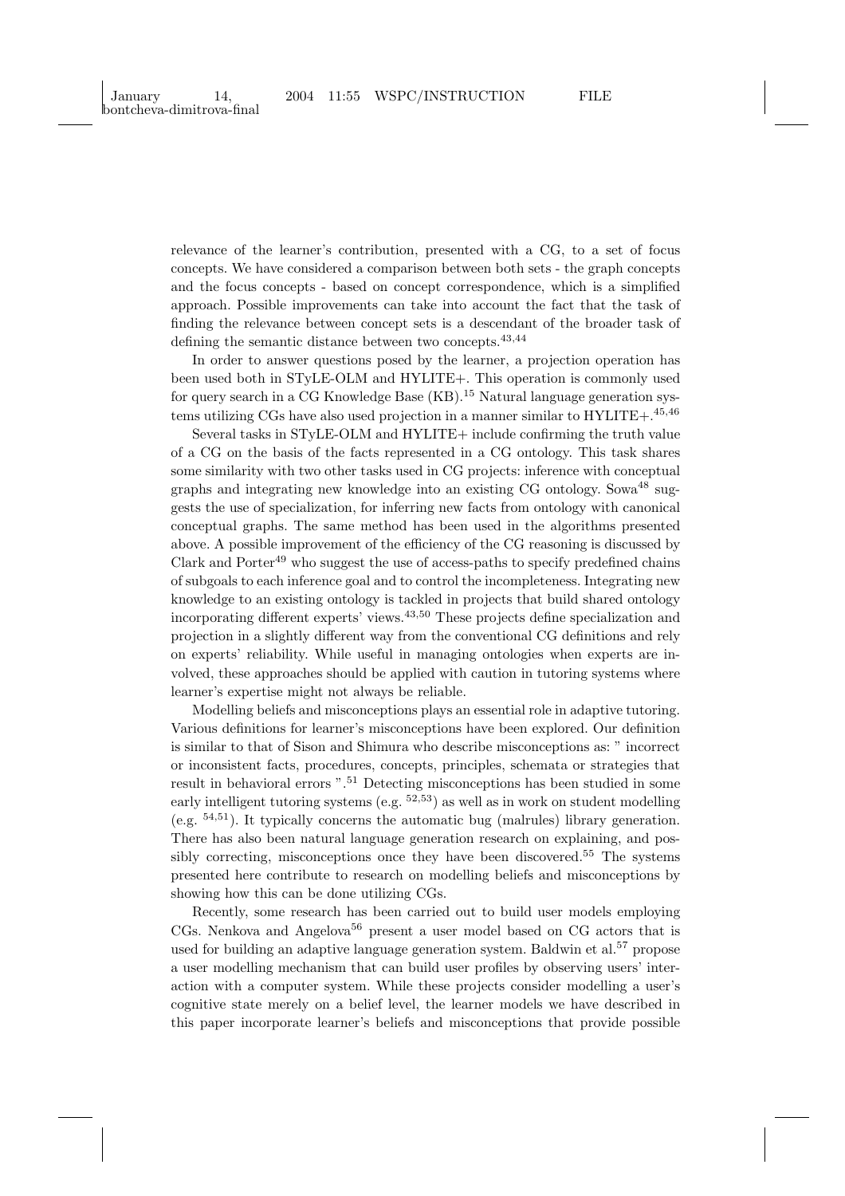relevance of the learner's contribution, presented with a CG, to a set of focus concepts. We have considered a comparison between both sets - the graph concepts and the focus concepts - based on concept correspondence, which is a simplified approach. Possible improvements can take into account the fact that the task of finding the relevance between concept sets is a descendant of the broader task of defining the semantic distance between two concepts.<sup>43,44</sup>

In order to answer questions posed by the learner, a projection operation has been used both in STyLE-OLM and HYLITE+. This operation is commonly used for query search in a CG Knowledge Base  $(KB)$ .<sup>15</sup> Natural language generation systems utilizing CGs have also used projection in a manner similar to  $HYLITE+$ .<sup>45,46</sup>

Several tasks in STyLE-OLM and HYLITE+ include confirming the truth value of a CG on the basis of the facts represented in a CG ontology. This task shares some similarity with two other tasks used in CG projects: inference with conceptual graphs and integrating new knowledge into an existing CG ontology. Sowa<sup>48</sup> suggests the use of specialization, for inferring new facts from ontology with canonical conceptual graphs. The same method has been used in the algorithms presented above. A possible improvement of the efficiency of the CG reasoning is discussed by Clark and Porter<sup>49</sup> who suggest the use of access-paths to specify predefined chains of subgoals to each inference goal and to control the incompleteness. Integrating new knowledge to an existing ontology is tackled in projects that build shared ontology incorporating different experts' views.<sup>43</sup>,<sup>50</sup> These projects define specialization and projection in a slightly different way from the conventional CG definitions and rely on experts' reliability. While useful in managing ontologies when experts are involved, these approaches should be applied with caution in tutoring systems where learner's expertise might not always be reliable.

Modelling beliefs and misconceptions plays an essential role in adaptive tutoring. Various definitions for learner's misconceptions have been explored. Our definition is similar to that of Sison and Shimura who describe misconceptions as: " incorrect or inconsistent facts, procedures, concepts, principles, schemata or strategies that result in behavioral errors ".<sup>51</sup> Detecting misconceptions has been studied in some early intelligent tutoring systems (e.g.  $52,53$ ) as well as in work on student modelling (e.g. <sup>54</sup>,<sup>51</sup>). It typically concerns the automatic bug (malrules) library generation. There has also been natural language generation research on explaining, and possibly correcting, misconceptions once they have been discovered.<sup>55</sup> The systems presented here contribute to research on modelling beliefs and misconceptions by showing how this can be done utilizing CGs.

Recently, some research has been carried out to build user models employing CGs. Nenkova and Angelova<sup>56</sup> present a user model based on CG actors that is used for building an adaptive language generation system. Baldwin et al.<sup>57</sup> propose a user modelling mechanism that can build user profiles by observing users' interaction with a computer system. While these projects consider modelling a user's cognitive state merely on a belief level, the learner models we have described in this paper incorporate learner's beliefs and misconceptions that provide possible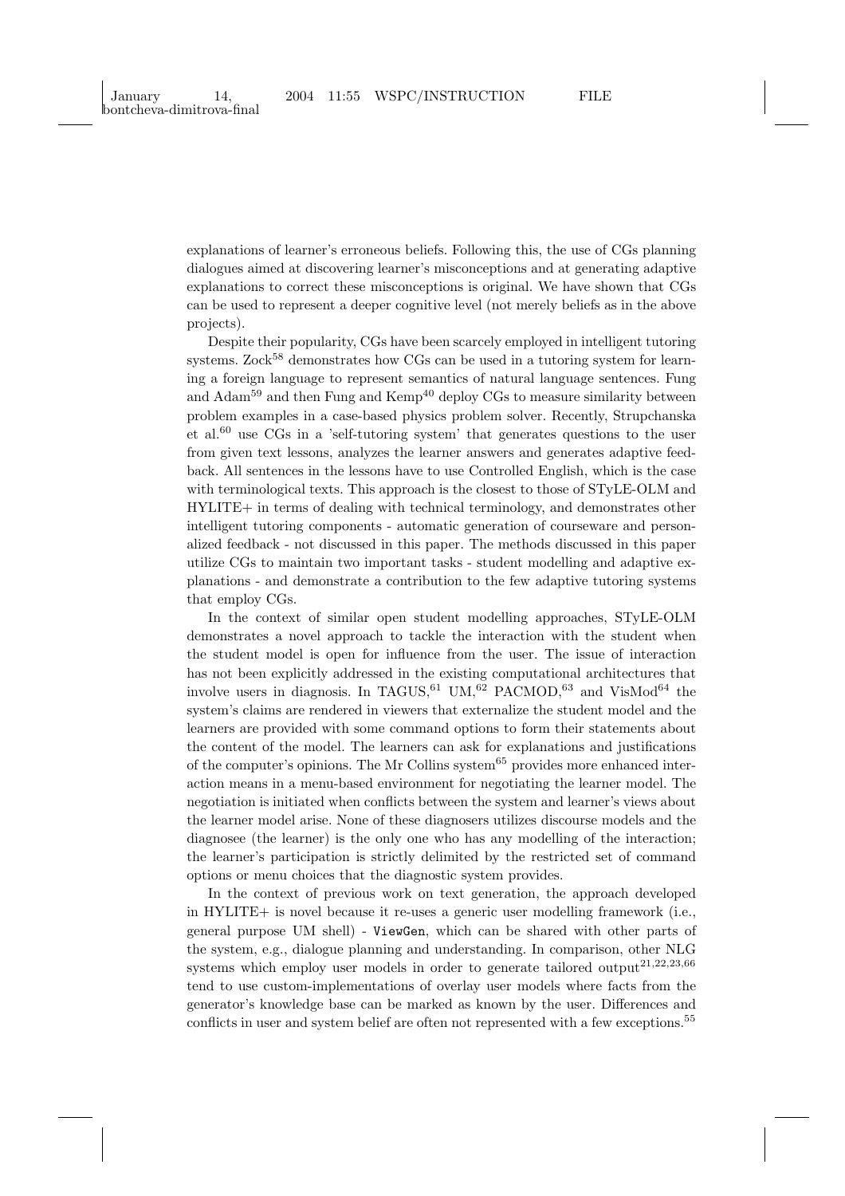explanations of learner's erroneous beliefs. Following this, the use of CGs planning dialogues aimed at discovering learner's misconceptions and at generating adaptive explanations to correct these misconceptions is original. We have shown that CGs can be used to represent a deeper cognitive level (not merely beliefs as in the above projects).

Despite their popularity, CGs have been scarcely employed in intelligent tutoring systems. Zock<sup>58</sup> demonstrates how CGs can be used in a tutoring system for learning a foreign language to represent semantics of natural language sentences. Fung and Adam<sup>59</sup> and then Fung and Kemp<sup>40</sup> deploy CGs to measure similarity between problem examples in a case-based physics problem solver. Recently, Strupchanska et al.<sup>60</sup> use CGs in a 'self-tutoring system' that generates questions to the user from given text lessons, analyzes the learner answers and generates adaptive feedback. All sentences in the lessons have to use Controlled English, which is the case with terminological texts. This approach is the closest to those of STyLE-OLM and HYLITE+ in terms of dealing with technical terminology, and demonstrates other intelligent tutoring components - automatic generation of courseware and personalized feedback - not discussed in this paper. The methods discussed in this paper utilize CGs to maintain two important tasks - student modelling and adaptive explanations - and demonstrate a contribution to the few adaptive tutoring systems that employ CGs.

In the context of similar open student modelling approaches, STyLE-OLM demonstrates a novel approach to tackle the interaction with the student when the student model is open for influence from the user. The issue of interaction has not been explicitly addressed in the existing computational architectures that involve users in diagnosis. In TAGUS,  $61$  UM,  $62$  PACMOD,  $63$  and VisMod $64$  the system's claims are rendered in viewers that externalize the student model and the learners are provided with some command options to form their statements about the content of the model. The learners can ask for explanations and justifications of the computer's opinions. The Mr Collins system<sup>65</sup> provides more enhanced interaction means in a menu-based environment for negotiating the learner model. The negotiation is initiated when conflicts between the system and learner's views about the learner model arise. None of these diagnosers utilizes discourse models and the diagnosee (the learner) is the only one who has any modelling of the interaction; the learner's participation is strictly delimited by the restricted set of command options or menu choices that the diagnostic system provides.

In the context of previous work on text generation, the approach developed in HYLITE+ is novel because it re-uses a generic user modelling framework (i.e., general purpose UM shell) - ViewGen, which can be shared with other parts of the system, e.g., dialogue planning and understanding. In comparison, other NLG systems which employ user models in order to generate tailored output<sup>21,22,23,66</sup> tend to use custom-implementations of overlay user models where facts from the generator's knowledge base can be marked as known by the user. Differences and conflicts in user and system belief are often not represented with a few exceptions.<sup>55</sup>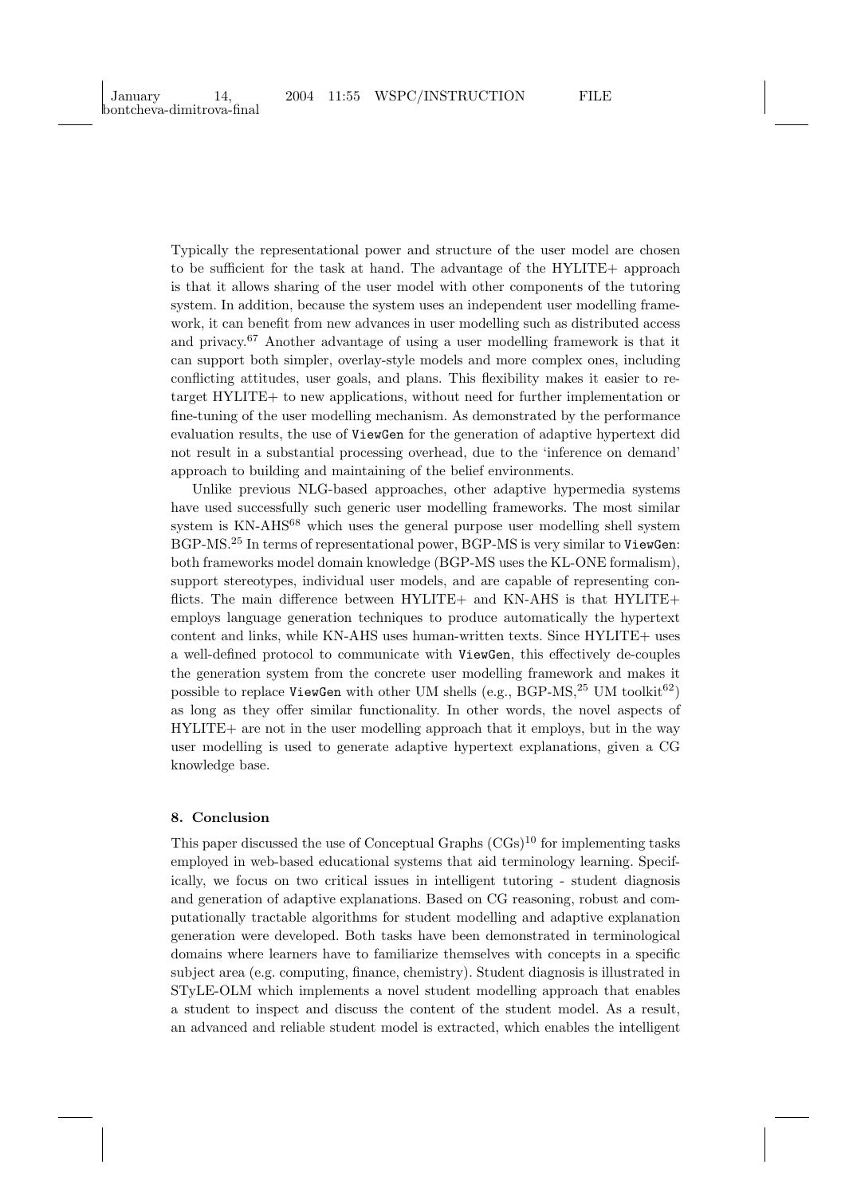Typically the representational power and structure of the user model are chosen to be sufficient for the task at hand. The advantage of the HYLITE+ approach is that it allows sharing of the user model with other components of the tutoring system. In addition, because the system uses an independent user modelling framework, it can benefit from new advances in user modelling such as distributed access and privacy.<sup>67</sup> Another advantage of using a user modelling framework is that it can support both simpler, overlay-style models and more complex ones, including conflicting attitudes, user goals, and plans. This flexibility makes it easier to retarget HYLITE+ to new applications, without need for further implementation or fine-tuning of the user modelling mechanism. As demonstrated by the performance evaluation results, the use of ViewGen for the generation of adaptive hypertext did not result in a substantial processing overhead, due to the 'inference on demand' approach to building and maintaining of the belief environments.

Unlike previous NLG-based approaches, other adaptive hypermedia systems have used successfully such generic user modelling frameworks. The most similar system is KN-AHS<sup>68</sup> which uses the general purpose user modelling shell system BGP-MS.<sup>25</sup> In terms of representational power, BGP-MS is very similar to ViewGen: both frameworks model domain knowledge (BGP-MS uses the KL-ONE formalism), support stereotypes, individual user models, and are capable of representing conflicts. The main difference between HYLITE+ and KN-AHS is that HYLITE+ employs language generation techniques to produce automatically the hypertext content and links, while KN-AHS uses human-written texts. Since HYLITE+ uses a well-defined protocol to communicate with ViewGen, this effectively de-couples the generation system from the concrete user modelling framework and makes it possible to replace ViewGen with other UM shells (e.g., BGP-MS,<sup>25</sup> UM toolkit<sup>62</sup>) as long as they offer similar functionality. In other words, the novel aspects of HYLITE+ are not in the user modelling approach that it employs, but in the way user modelling is used to generate adaptive hypertext explanations, given a CG knowledge base.

## 8. Conclusion

This paper discussed the use of Conceptual Graphs  $(CGs)^{10}$  for implementing tasks employed in web-based educational systems that aid terminology learning. Specifically, we focus on two critical issues in intelligent tutoring - student diagnosis and generation of adaptive explanations. Based on CG reasoning, robust and computationally tractable algorithms for student modelling and adaptive explanation generation were developed. Both tasks have been demonstrated in terminological domains where learners have to familiarize themselves with concepts in a specific subject area (e.g. computing, finance, chemistry). Student diagnosis is illustrated in STyLE-OLM which implements a novel student modelling approach that enables a student to inspect and discuss the content of the student model. As a result, an advanced and reliable student model is extracted, which enables the intelligent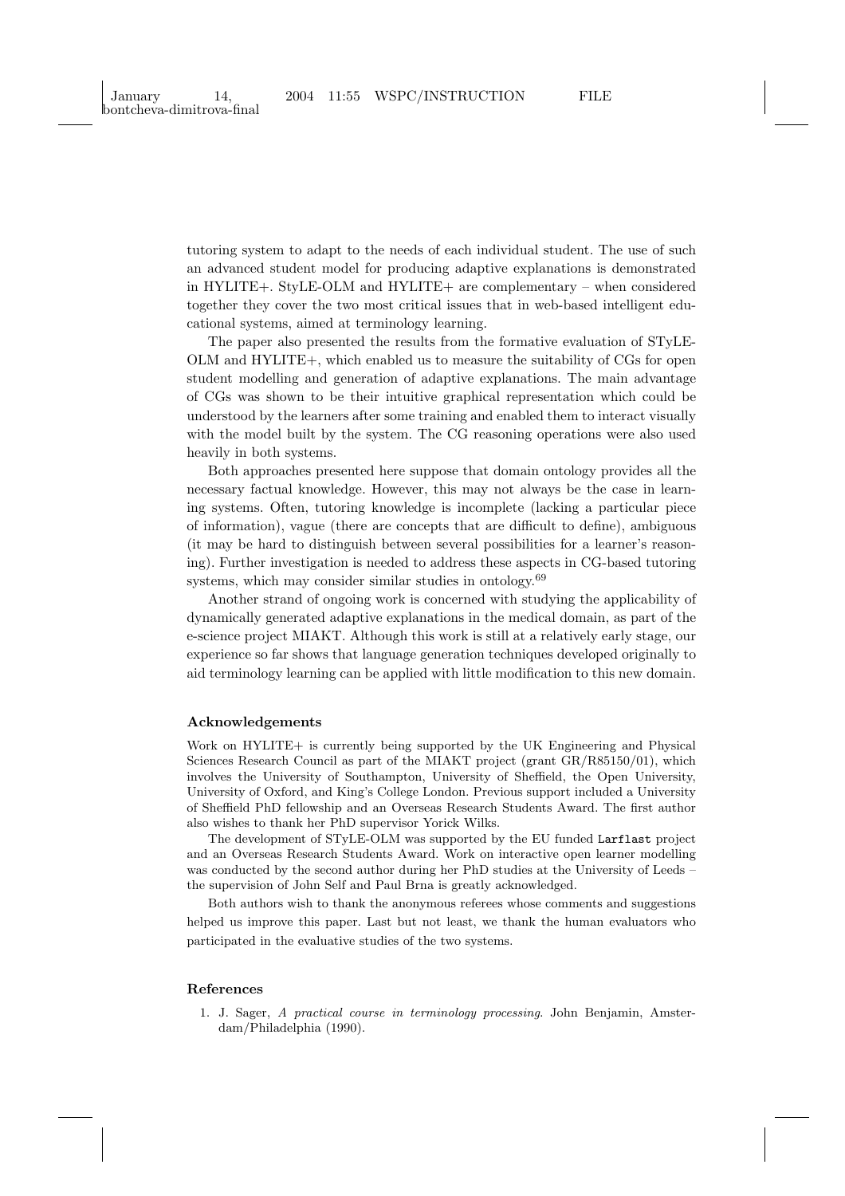tutoring system to adapt to the needs of each individual student. The use of such an advanced student model for producing adaptive explanations is demonstrated in HYLITE+. StyLE-OLM and HYLITE+ are complementary – when considered together they cover the two most critical issues that in web-based intelligent educational systems, aimed at terminology learning.

The paper also presented the results from the formative evaluation of STyLE-OLM and HYLITE+, which enabled us to measure the suitability of CGs for open student modelling and generation of adaptive explanations. The main advantage of CGs was shown to be their intuitive graphical representation which could be understood by the learners after some training and enabled them to interact visually with the model built by the system. The CG reasoning operations were also used heavily in both systems.

Both approaches presented here suppose that domain ontology provides all the necessary factual knowledge. However, this may not always be the case in learning systems. Often, tutoring knowledge is incomplete (lacking a particular piece of information), vague (there are concepts that are difficult to define), ambiguous (it may be hard to distinguish between several possibilities for a learner's reasoning). Further investigation is needed to address these aspects in CG-based tutoring systems, which may consider similar studies in ontology.<sup>69</sup>

Another strand of ongoing work is concerned with studying the applicability of dynamically generated adaptive explanations in the medical domain, as part of the e-science project MIAKT. Although this work is still at a relatively early stage, our experience so far shows that language generation techniques developed originally to aid terminology learning can be applied with little modification to this new domain.

#### Acknowledgements

Work on HYLITE+ is currently being supported by the UK Engineering and Physical Sciences Research Council as part of the MIAKT project (grant GR/R85150/01), which involves the University of Southampton, University of Sheffield, the Open University, University of Oxford, and King's College London. Previous support included a University of Sheffield PhD fellowship and an Overseas Research Students Award. The first author also wishes to thank her PhD supervisor Yorick Wilks.

The development of STyLE-OLM was supported by the EU funded Larflast project and an Overseas Research Students Award. Work on interactive open learner modelling was conducted by the second author during her PhD studies at the University of Leeds – the supervision of John Self and Paul Brna is greatly acknowledged.

Both authors wish to thank the anonymous referees whose comments and suggestions helped us improve this paper. Last but not least, we thank the human evaluators who participated in the evaluative studies of the two systems.

#### References

1. J. Sager, A practical course in terminology processing. John Benjamin, Amsterdam/Philadelphia (1990).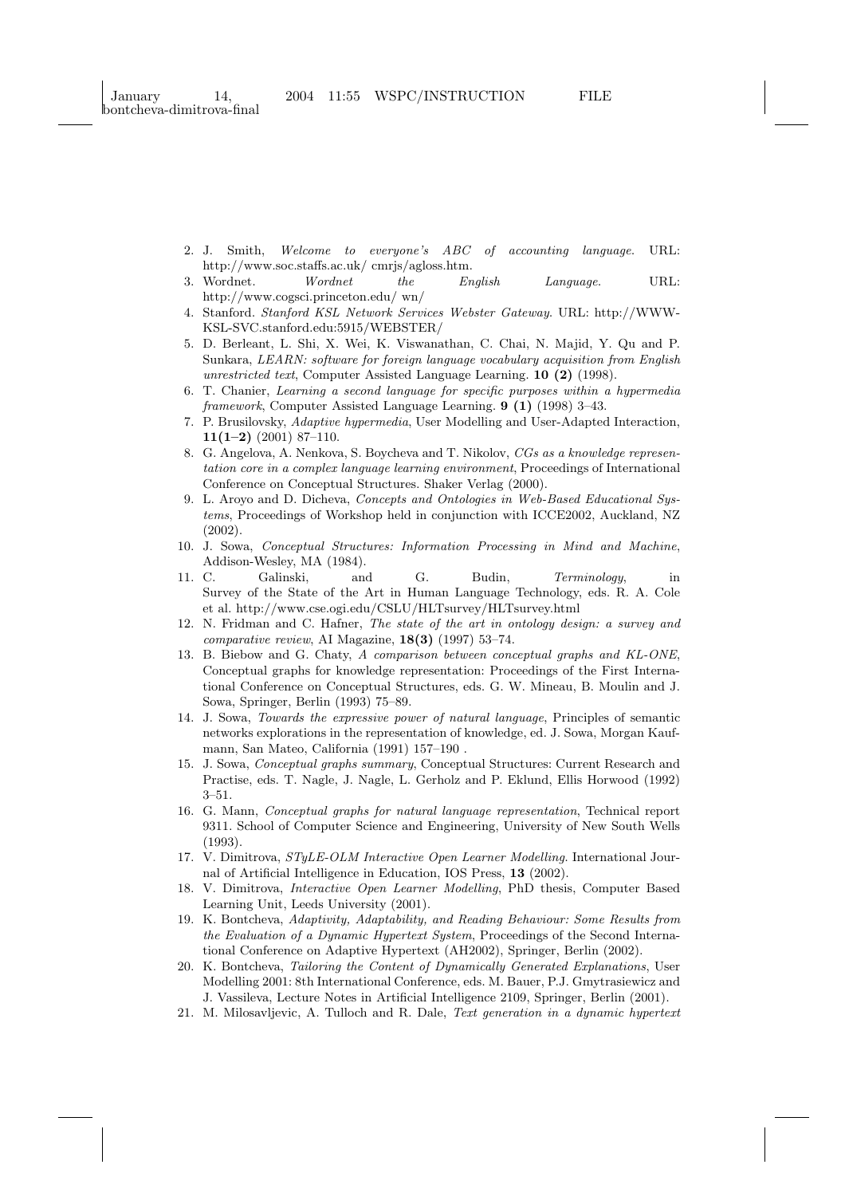- 2. J. Smith, Welcome to everyone's ABC of accounting language. URL: http://www.soc.staffs.ac.uk/ cmrjs/agloss.htm.
- 3. Wordnet. Wordnet the English Language. URL: http://www.cogsci.princeton.edu/ wn/
- 4. Stanford. Stanford KSL Network Services Webster Gateway. URL: http://WWW-KSL-SVC.stanford.edu:5915/WEBSTER/
- 5. D. Berleant, L. Shi, X. Wei, K. Viswanathan, C. Chai, N. Majid, Y. Qu and P. Sunkara, LEARN: software for foreign language vocabulary acquisition from English unrestricted text, Computer Assisted Language Learning. 10 (2) (1998).
- 6. T. Chanier, Learning a second language for specific purposes within a hypermedia framework, Computer Assisted Language Learning. 9 (1) (1998) 3–43.
- 7. P. Brusilovsky, Adaptive hypermedia, User Modelling and User-Adapted Interaction,  $11(1-2)$  (2001) 87-110.
- 8. G. Angelova, A. Nenkova, S. Boycheva and T. Nikolov, CGs as a knowledge representation core in a complex language learning environment, Proceedings of International Conference on Conceptual Structures. Shaker Verlag (2000).
- 9. L. Aroyo and D. Dicheva, Concepts and Ontologies in Web-Based Educational Systems, Proceedings of Workshop held in conjunction with ICCE2002, Auckland, NZ (2002).
- 10. J. Sowa, Conceptual Structures: Information Processing in Mind and Machine, Addison-Wesley, MA (1984).
- 11. C. Galinski, and G. Budin, Terminology, in Survey of the State of the Art in Human Language Technology, eds. R. A. Cole et al. http://www.cse.ogi.edu/CSLU/HLTsurvey/HLTsurvey.html
- 12. N. Fridman and C. Hafner, The state of the art in ontology design: a survey and comparative review, AI Magazine,  $18(3)$  (1997) 53-74.
- 13. B. Biebow and G. Chaty, A comparison between conceptual graphs and KL-ONE, Conceptual graphs for knowledge representation: Proceedings of the First International Conference on Conceptual Structures, eds. G. W. Mineau, B. Moulin and J. Sowa, Springer, Berlin (1993) 75–89.
- 14. J. Sowa, Towards the expressive power of natural language, Principles of semantic networks explorations in the representation of knowledge, ed. J. Sowa, Morgan Kaufmann, San Mateo, California (1991) 157–190 .
- 15. J. Sowa, Conceptual graphs summary, Conceptual Structures: Current Research and Practise, eds. T. Nagle, J. Nagle, L. Gerholz and P. Eklund, Ellis Horwood (1992) 3–51.
- 16. G. Mann, Conceptual graphs for natural language representation, Technical report 9311. School of Computer Science and Engineering, University of New South Wells (1993).
- 17. V. Dimitrova, STyLE-OLM Interactive Open Learner Modelling. International Journal of Artificial Intelligence in Education, IOS Press, 13 (2002).
- 18. V. Dimitrova, Interactive Open Learner Modelling, PhD thesis, Computer Based Learning Unit, Leeds University (2001).
- 19. K. Bontcheva, Adaptivity, Adaptability, and Reading Behaviour: Some Results from the Evaluation of a Dynamic Hypertext System, Proceedings of the Second International Conference on Adaptive Hypertext (AH2002), Springer, Berlin (2002).
- 20. K. Bontcheva, Tailoring the Content of Dynamically Generated Explanations, User Modelling 2001: 8th International Conference, eds. M. Bauer, P.J. Gmytrasiewicz and J. Vassileva, Lecture Notes in Artificial Intelligence 2109, Springer, Berlin (2001).
- 21. M. Milosavljevic, A. Tulloch and R. Dale, Text generation in a dynamic hypertext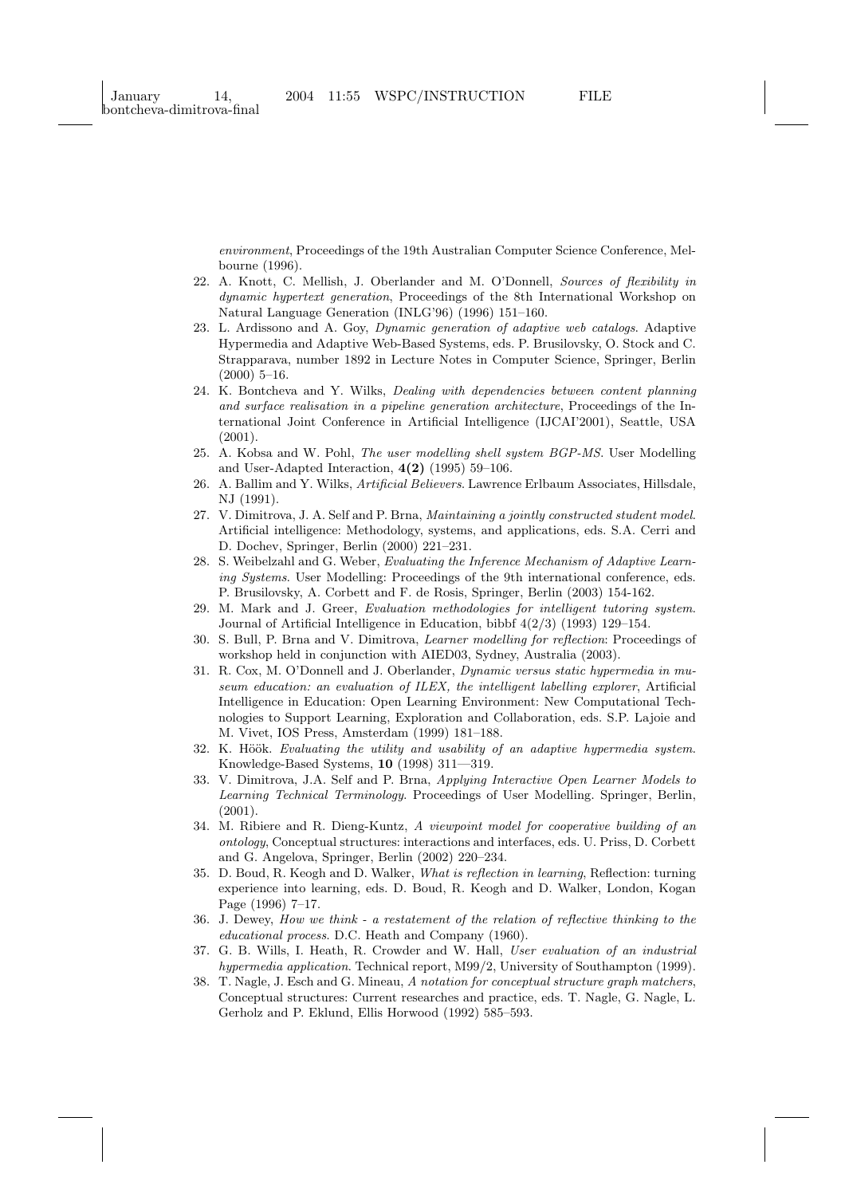environment, Proceedings of the 19th Australian Computer Science Conference, Melbourne (1996).

- 22. A. Knott, C. Mellish, J. Oberlander and M. O'Donnell, Sources of flexibility in dynamic hypertext generation, Proceedings of the 8th International Workshop on Natural Language Generation (INLG'96) (1996) 151–160.
- 23. L. Ardissono and A. Goy, Dynamic generation of adaptive web catalogs. Adaptive Hypermedia and Adaptive Web-Based Systems, eds. P. Brusilovsky, O. Stock and C. Strapparava, number 1892 in Lecture Notes in Computer Science, Springer, Berlin (2000) 5–16.
- 24. K. Bontcheva and Y. Wilks, Dealing with dependencies between content planning and surface realisation in a pipeline generation architecture, Proceedings of the International Joint Conference in Artificial Intelligence (IJCAI'2001), Seattle, USA (2001).
- 25. A. Kobsa and W. Pohl, The user modelling shell system BGP-MS. User Modelling and User-Adapted Interaction,  $4(2)$  (1995) 59–106.
- 26. A. Ballim and Y. Wilks, Artificial Believers. Lawrence Erlbaum Associates, Hillsdale, NJ (1991).
- 27. V. Dimitrova, J. A. Self and P. Brna, Maintaining a jointly constructed student model. Artificial intelligence: Methodology, systems, and applications, eds. S.A. Cerri and D. Dochev, Springer, Berlin (2000) 221–231.
- 28. S. Weibelzahl and G. Weber, Evaluating the Inference Mechanism of Adaptive Learning Systems. User Modelling: Proceedings of the 9th international conference, eds. P. Brusilovsky, A. Corbett and F. de Rosis, Springer, Berlin (2003) 154-162.
- 29. M. Mark and J. Greer, Evaluation methodologies for intelligent tutoring system. Journal of Artificial Intelligence in Education, bibbf 4(2/3) (1993) 129–154.
- 30. S. Bull, P. Brna and V. Dimitrova, Learner modelling for reflection: Proceedings of workshop held in conjunction with AIED03, Sydney, Australia (2003).
- 31. R. Cox, M. O'Donnell and J. Oberlander, Dynamic versus static hypermedia in museum education: an evaluation of ILEX, the intelligent labelling explorer, Artificial Intelligence in Education: Open Learning Environment: New Computational Technologies to Support Learning, Exploration and Collaboration, eds. S.P. Lajoie and M. Vivet, IOS Press, Amsterdam (1999) 181–188.
- 32. K. Höök. Evaluating the utility and usability of an adaptive hypermedia system. Knowledge-Based Systems, 10 (1998) 311—319.
- 33. V. Dimitrova, J.A. Self and P. Brna, Applying Interactive Open Learner Models to Learning Technical Terminology. Proceedings of User Modelling. Springer, Berlin, (2001).
- 34. M. Ribiere and R. Dieng-Kuntz, A viewpoint model for cooperative building of an ontology, Conceptual structures: interactions and interfaces, eds. U. Priss, D. Corbett and G. Angelova, Springer, Berlin (2002) 220–234.
- 35. D. Boud, R. Keogh and D. Walker, What is reflection in learning, Reflection: turning experience into learning, eds. D. Boud, R. Keogh and D. Walker, London, Kogan Page (1996) 7–17.
- 36. J. Dewey, How we think a restatement of the relation of reflective thinking to the educational process. D.C. Heath and Company (1960).
- 37. G. B. Wills, I. Heath, R. Crowder and W. Hall, User evaluation of an industrial hypermedia application. Technical report, M99/2, University of Southampton (1999).
- 38. T. Nagle, J. Esch and G. Mineau, A notation for conceptual structure graph matchers, Conceptual structures: Current researches and practice, eds. T. Nagle, G. Nagle, L. Gerholz and P. Eklund, Ellis Horwood (1992) 585–593.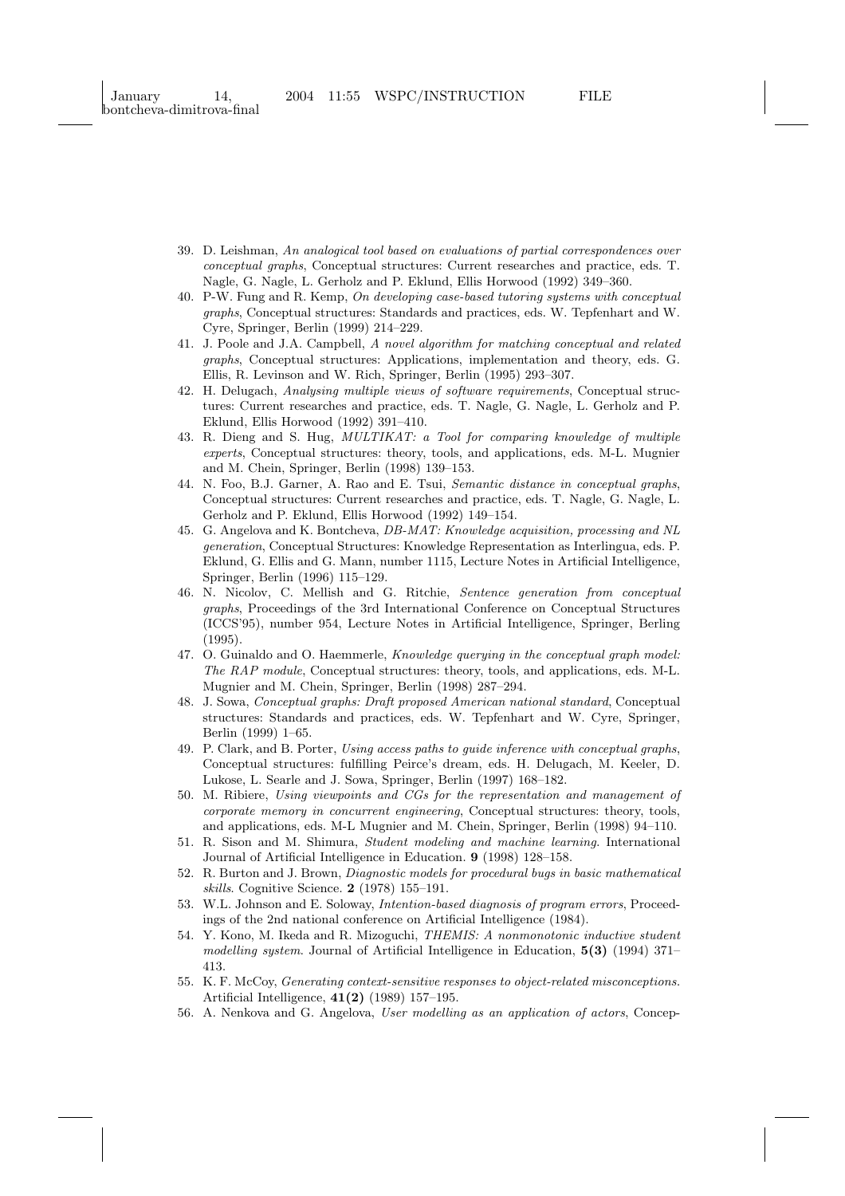- 39. D. Leishman, An analogical tool based on evaluations of partial correspondences over conceptual graphs, Conceptual structures: Current researches and practice, eds. T. Nagle, G. Nagle, L. Gerholz and P. Eklund, Ellis Horwood (1992) 349–360.
- 40. P-W. Fung and R. Kemp, On developing case-based tutoring systems with conceptual graphs, Conceptual structures: Standards and practices, eds. W. Tepfenhart and W. Cyre, Springer, Berlin (1999) 214–229.
- 41. J. Poole and J.A. Campbell, A novel algorithm for matching conceptual and related graphs, Conceptual structures: Applications, implementation and theory, eds. G. Ellis, R. Levinson and W. Rich, Springer, Berlin (1995) 293–307.
- 42. H. Delugach, Analysing multiple views of software requirements, Conceptual structures: Current researches and practice, eds. T. Nagle, G. Nagle, L. Gerholz and P. Eklund, Ellis Horwood (1992) 391–410.
- 43. R. Dieng and S. Hug, MULTIKAT: a Tool for comparing knowledge of multiple experts, Conceptual structures: theory, tools, and applications, eds. M-L. Mugnier and M. Chein, Springer, Berlin (1998) 139–153.
- 44. N. Foo, B.J. Garner, A. Rao and E. Tsui, Semantic distance in conceptual graphs, Conceptual structures: Current researches and practice, eds. T. Nagle, G. Nagle, L. Gerholz and P. Eklund, Ellis Horwood (1992) 149–154.
- 45. G. Angelova and K. Bontcheva, DB-MAT: Knowledge acquisition, processing and NL generation, Conceptual Structures: Knowledge Representation as Interlingua, eds. P. Eklund, G. Ellis and G. Mann, number 1115, Lecture Notes in Artificial Intelligence, Springer, Berlin (1996) 115–129.
- 46. N. Nicolov, C. Mellish and G. Ritchie, Sentence generation from conceptual graphs, Proceedings of the 3rd International Conference on Conceptual Structures (ICCS'95), number 954, Lecture Notes in Artificial Intelligence, Springer, Berling (1995).
- 47. O. Guinaldo and O. Haemmerle, Knowledge querying in the conceptual graph model: The RAP module, Conceptual structures: theory, tools, and applications, eds. M-L. Mugnier and M. Chein, Springer, Berlin (1998) 287–294.
- 48. J. Sowa, Conceptual graphs: Draft proposed American national standard, Conceptual structures: Standards and practices, eds. W. Tepfenhart and W. Cyre, Springer, Berlin (1999) 1–65.
- 49. P. Clark, and B. Porter, Using access paths to guide inference with conceptual graphs, Conceptual structures: fulfilling Peirce's dream, eds. H. Delugach, M. Keeler, D. Lukose, L. Searle and J. Sowa, Springer, Berlin (1997) 168–182.
- 50. M. Ribiere, Using viewpoints and CGs for the representation and management of corporate memory in concurrent engineering, Conceptual structures: theory, tools, and applications, eds. M-L Mugnier and M. Chein, Springer, Berlin (1998) 94–110.
- 51. R. Sison and M. Shimura, Student modeling and machine learning. International Journal of Artificial Intelligence in Education. 9 (1998) 128–158.
- 52. R. Burton and J. Brown, Diagnostic models for procedural bugs in basic mathematical skills. Cognitive Science. 2 (1978) 155–191.
- 53. W.L. Johnson and E. Soloway, Intention-based diagnosis of program errors, Proceedings of the 2nd national conference on Artificial Intelligence (1984).
- 54. Y. Kono, M. Ikeda and R. Mizoguchi, THEMIS: A nonmonotonic inductive student modelling system. Journal of Artificial Intelligence in Education, 5(3) (1994) 371– 413.
- 55. K. F. McCoy, Generating context-sensitive responses to object-related misconceptions. Artificial Intelligence, 41(2) (1989) 157–195.
- 56. A. Nenkova and G. Angelova, User modelling as an application of actors, Concep-